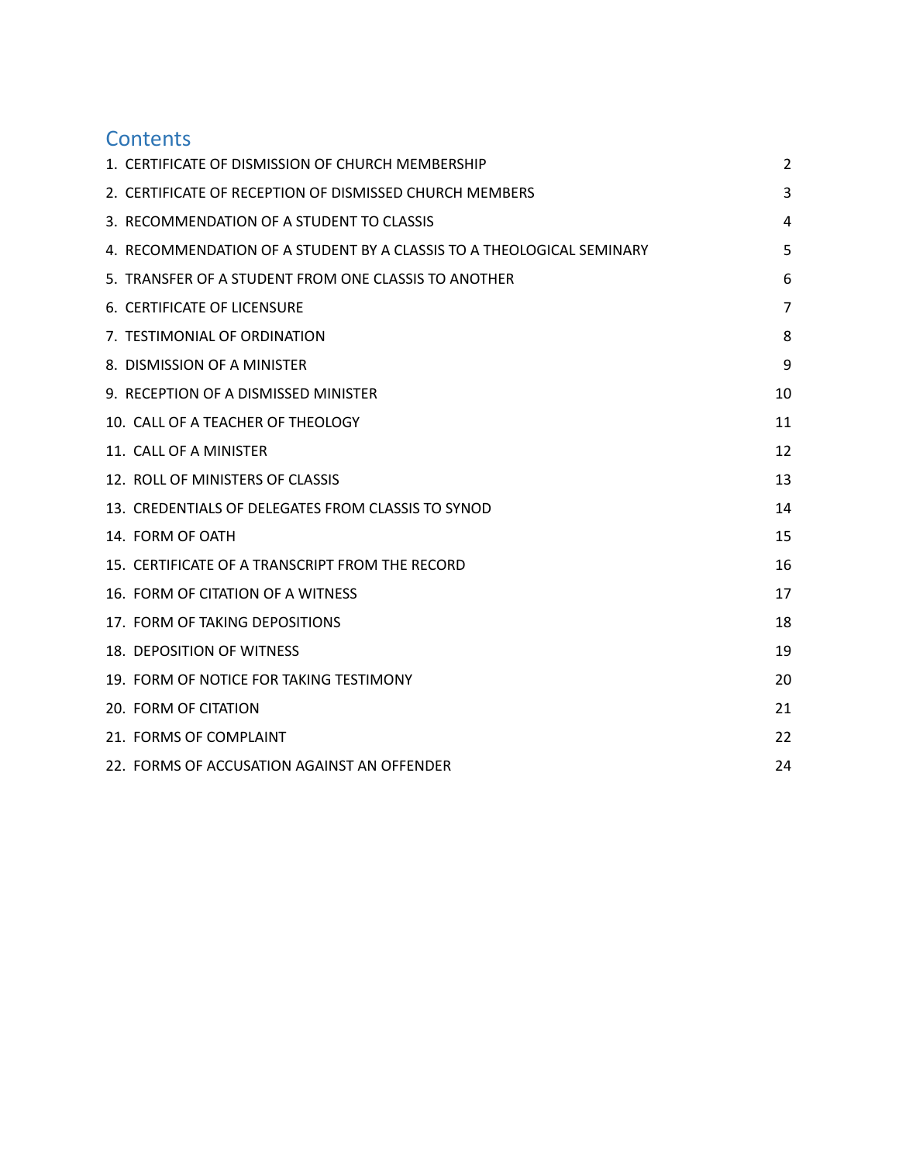# **Contents**

| 1. CERTIFICATE OF DISMISSION OF CHURCH MEMBERSHIP                     | 2              |
|-----------------------------------------------------------------------|----------------|
| 2. CERTIFICATE OF RECEPTION OF DISMISSED CHURCH MEMBERS               | 3              |
| 3. RECOMMENDATION OF A STUDENT TO CLASSIS                             | 4              |
| 4. RECOMMENDATION OF A STUDENT BY A CLASSIS TO A THEOLOGICAL SEMINARY | 5              |
| 5. TRANSFER OF A STUDENT FROM ONE CLASSIS TO ANOTHER                  | 6              |
| 6. CERTIFICATE OF LICENSURE                                           | $\overline{7}$ |
| 7. TESTIMONIAL OF ORDINATION                                          | 8              |
| 8. DISMISSION OF A MINISTER                                           | 9              |
| 9. RECEPTION OF A DISMISSED MINISTER                                  | 10             |
| 10. CALL OF A TEACHER OF THEOLOGY                                     | 11             |
| 11. CALL OF A MINISTER                                                | 12             |
| 12. ROLL OF MINISTERS OF CLASSIS                                      | 13             |
| 13. CREDENTIALS OF DELEGATES FROM CLASSIS TO SYNOD                    | 14             |
| 14. FORM OF OATH                                                      | 15             |
| 15. CERTIFICATE OF A TRANSCRIPT FROM THE RECORD                       | 16             |
| 16. FORM OF CITATION OF A WITNESS                                     | 17             |
| 17. FORM OF TAKING DEPOSITIONS                                        | 18             |
| 18. DEPOSITION OF WITNESS                                             | 19             |
| 19. FORM OF NOTICE FOR TAKING TESTIMONY                               | 20             |
| 20. FORM OF CITATION                                                  | 21             |
| 21. FORMS OF COMPLAINT                                                | 22             |
| 22. FORMS OF ACCUSATION AGAINST AN OFFENDER                           | 24             |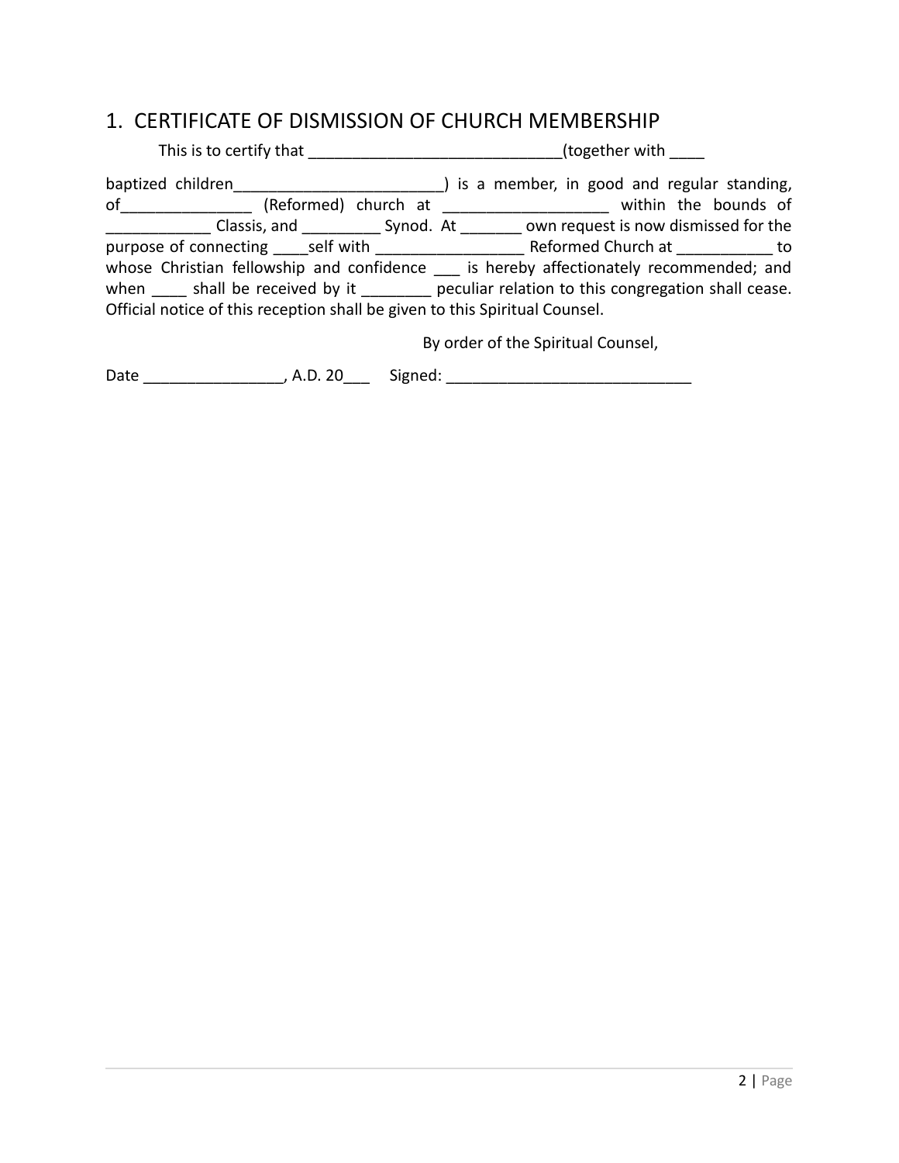#### <span id="page-1-0"></span>1. CERTIFICATE OF DISMISSION OF CHURCH MEMBERSHIP

| This is to certify that the state of the state of the state of the state of the state of the state of the state of the state of the state of the state of the state of the state of the state of the state of the state of the | (together with                                                                                        |
|--------------------------------------------------------------------------------------------------------------------------------------------------------------------------------------------------------------------------------|-------------------------------------------------------------------------------------------------------|
|                                                                                                                                                                                                                                | baptized children (baptized children baptized children and the standing, baptized children baptized b |
|                                                                                                                                                                                                                                | of _________________ (Reformed) church at _____________________ within the bounds of                  |
|                                                                                                                                                                                                                                | Classis, and Synod. At own request is now dismissed for the                                           |
|                                                                                                                                                                                                                                |                                                                                                       |
|                                                                                                                                                                                                                                | whose Christian fellowship and confidence is hereby affectionately recommended; and                   |
|                                                                                                                                                                                                                                | when ______ shall be received by it __________ peculiar relation to this congregation shall cease.    |
| Official notice of this reception shall be given to this Spiritual Counsel.                                                                                                                                                    |                                                                                                       |
|                                                                                                                                                                                                                                | By order of the Spiritual Counsel,                                                                    |

Date \_\_\_\_\_\_\_\_\_\_\_\_\_\_\_\_\_\_\_, A.D. 20\_\_\_\_ Signed: \_\_\_\_\_\_\_\_\_\_\_\_\_\_\_\_\_\_\_\_\_\_\_\_\_\_\_\_\_\_\_\_\_\_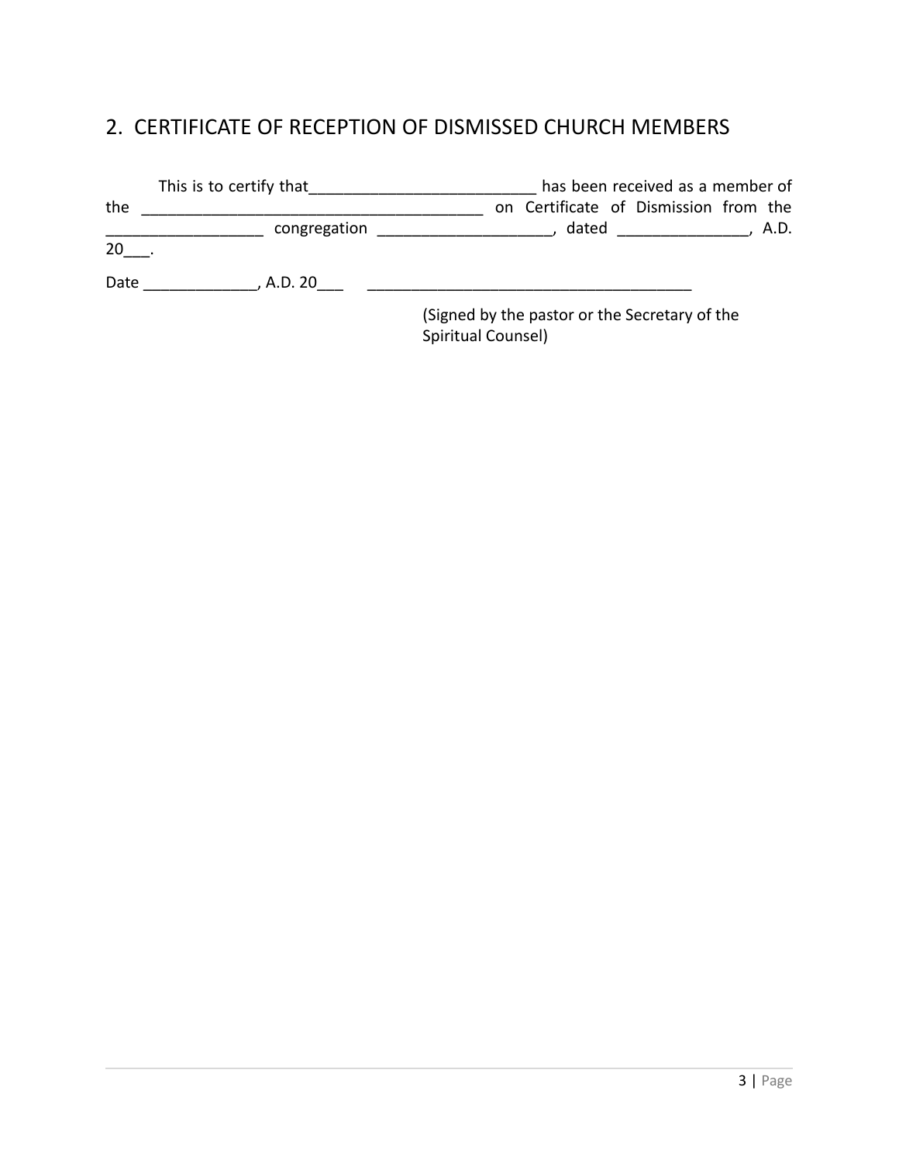# <span id="page-2-0"></span>2. CERTIFICATE OF RECEPTION OF DISMISSED CHURCH MEMBERS

|      | This is to certify that | has been received as a member of                                                                                       |
|------|-------------------------|------------------------------------------------------------------------------------------------------------------------|
| the  |                         | on Certificate of Dismission from the                                                                                  |
|      | congregation            | dated and the state of the state of the state of the state of the state of the state of the state of the state<br>A.D. |
| 20   |                         |                                                                                                                        |
| Date | , A.D. 20               |                                                                                                                        |
|      |                         | (Signed by the pastor or the Secretary of the                                                                          |

(Signed by the pastor or the Secretary of the Spiritual Counsel)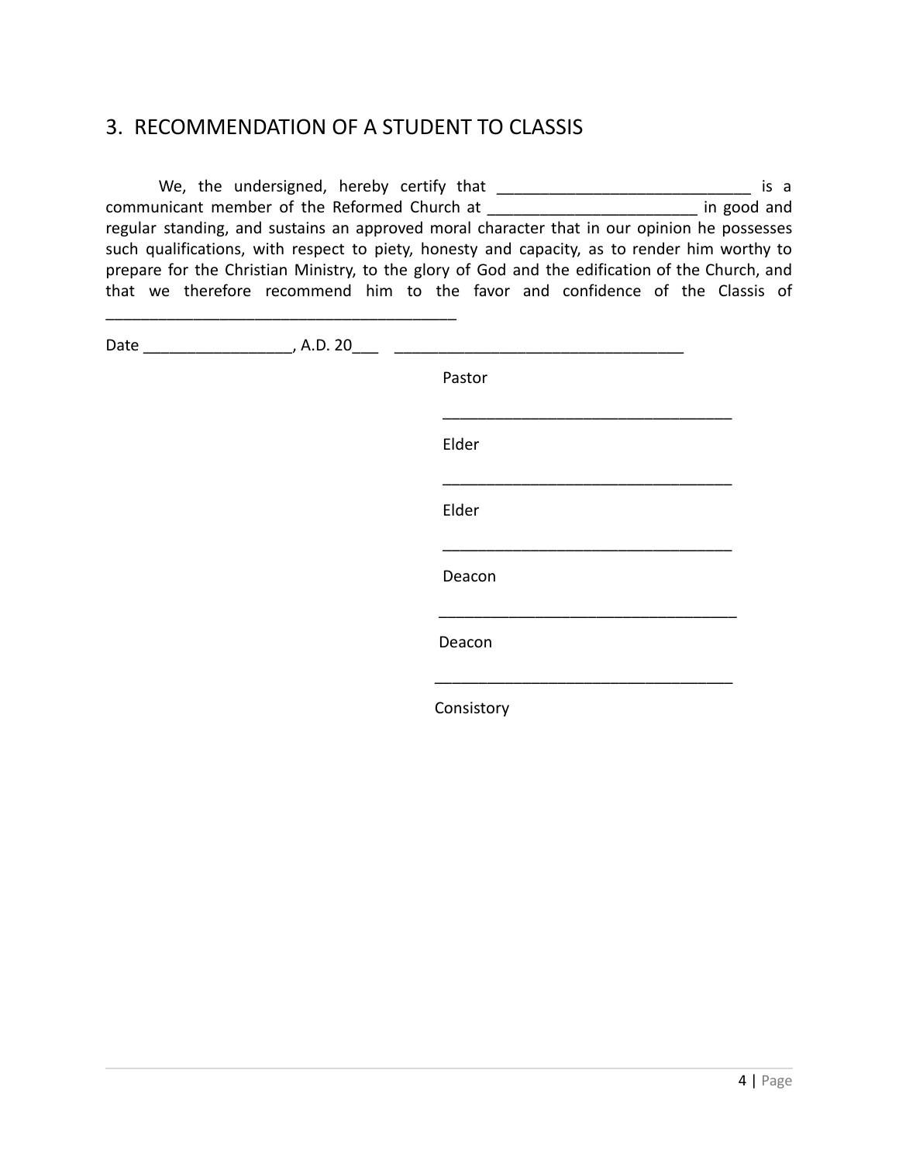#### <span id="page-3-0"></span>3. RECOMMENDATION OF A STUDENT TO CLASSIS

We, the undersigned, hereby certify that \_\_\_\_\_\_\_\_\_\_\_\_\_\_\_\_\_\_\_\_\_\_\_\_\_\_\_\_\_ is a communicant member of the Reformed Church at \_\_\_\_\_\_\_\_\_\_\_\_\_\_\_\_\_\_\_\_\_\_\_\_ in good and regular standing, and sustains an approved moral character that in our opinion he possesses such qualifications, with respect to piety, honesty and capacity, as to render him worthy to prepare for the Christian Ministry, to the glory of God and the edification of the Church, and that we therefore recommend him to the favor and confidence of the Classis of

Date \_\_\_\_\_\_\_\_\_\_\_\_\_\_\_\_\_, A.D. 20\_\_\_ \_\_\_\_\_\_\_\_\_\_\_\_\_\_\_\_\_\_\_\_\_\_\_\_\_\_\_\_\_\_\_\_\_

\_\_\_\_\_\_\_\_\_\_\_\_\_\_\_\_\_\_\_\_\_\_\_\_\_\_\_\_\_\_\_\_\_\_\_\_\_\_\_\_

Pastor \_\_\_\_\_\_\_\_\_\_\_\_\_\_\_\_\_\_\_\_\_\_\_\_\_\_\_\_\_\_\_\_\_ Elder \_\_\_\_\_\_\_\_\_\_\_\_\_\_\_\_\_\_\_\_\_\_\_\_\_\_\_\_\_\_\_\_\_ Elder \_\_\_\_\_\_\_\_\_\_\_\_\_\_\_\_\_\_\_\_\_\_\_\_\_\_\_\_\_\_\_\_\_ Deacon \_\_\_\_\_\_\_\_\_\_\_\_\_\_\_\_\_\_\_\_\_\_\_\_\_\_\_\_\_\_\_\_\_\_ Deacon \_\_\_\_\_\_\_\_\_\_\_\_\_\_\_\_\_\_\_\_\_\_\_\_\_\_\_\_\_\_\_\_\_\_

Consistory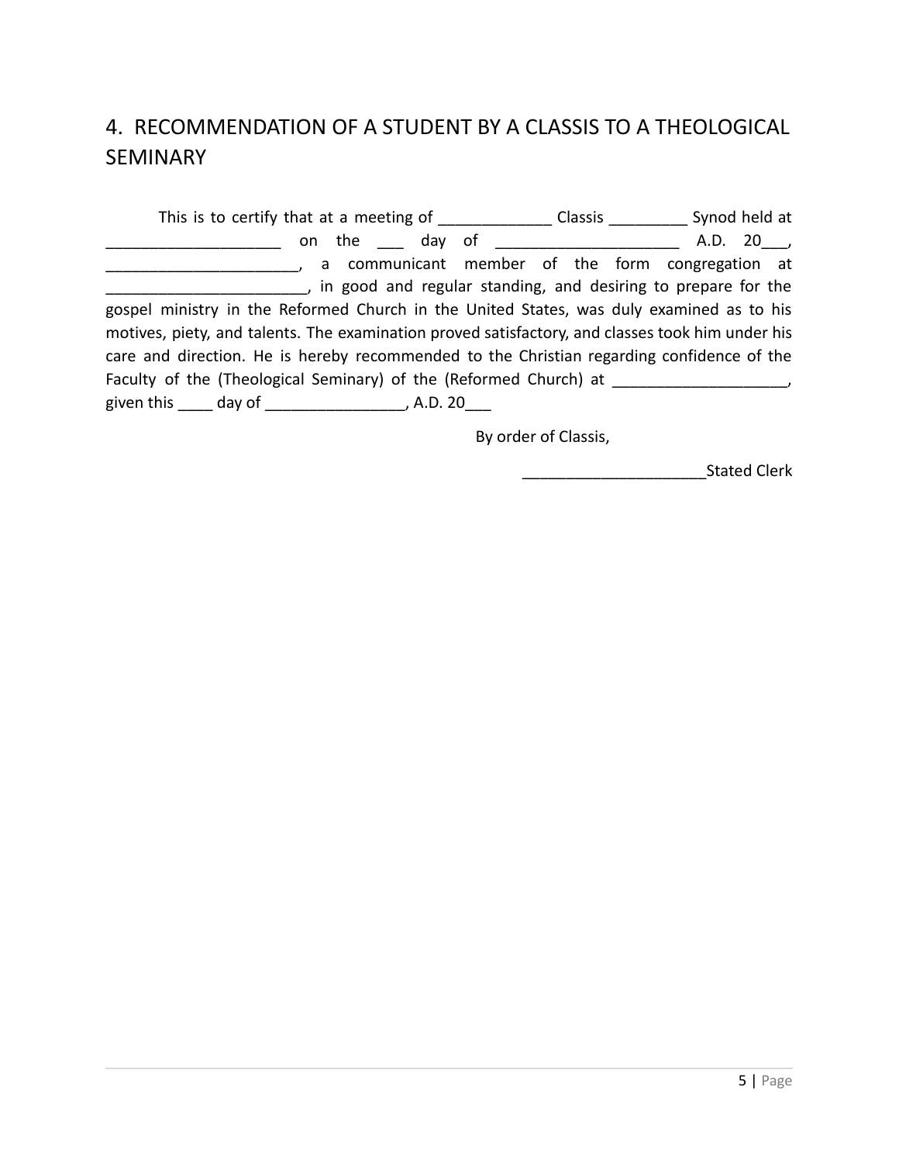# <span id="page-4-0"></span>4. RECOMMENDATION OF A STUDENT BY A CLASSIS TO A THEOLOGICAL SEMINARY

This is to certify that at a meeting of \_\_\_\_\_\_\_\_\_\_\_\_\_ Classis \_\_\_\_\_\_\_\_\_ Synod held at \_\_\_\_\_\_\_\_\_\_\_\_\_\_\_\_\_\_\_\_ on the \_\_\_ day of \_\_\_\_\_\_\_\_\_\_\_\_\_\_\_\_\_\_\_\_\_ A.D. 20\_\_\_, **Example 20** a communicant member of the form congregation at **EXECUTE:** The good and regular standing, and desiring to prepare for the gospel ministry in the Reformed Church in the United States, was duly examined as to his motives, piety, and talents. The examination proved satisfactory, and classes took him under his care and direction. He is hereby recommended to the Christian regarding confidence of the Faculty of the (Theological Seminary) of the (Reformed Church) at \_\_\_\_\_\_\_\_\_\_\_\_\_\_\_ given this \_\_\_\_\_ day of \_\_\_\_\_\_\_\_\_\_\_\_\_\_\_\_\_\_, A.D. 20\_\_\_

By order of Classis,

end and Stated Clerk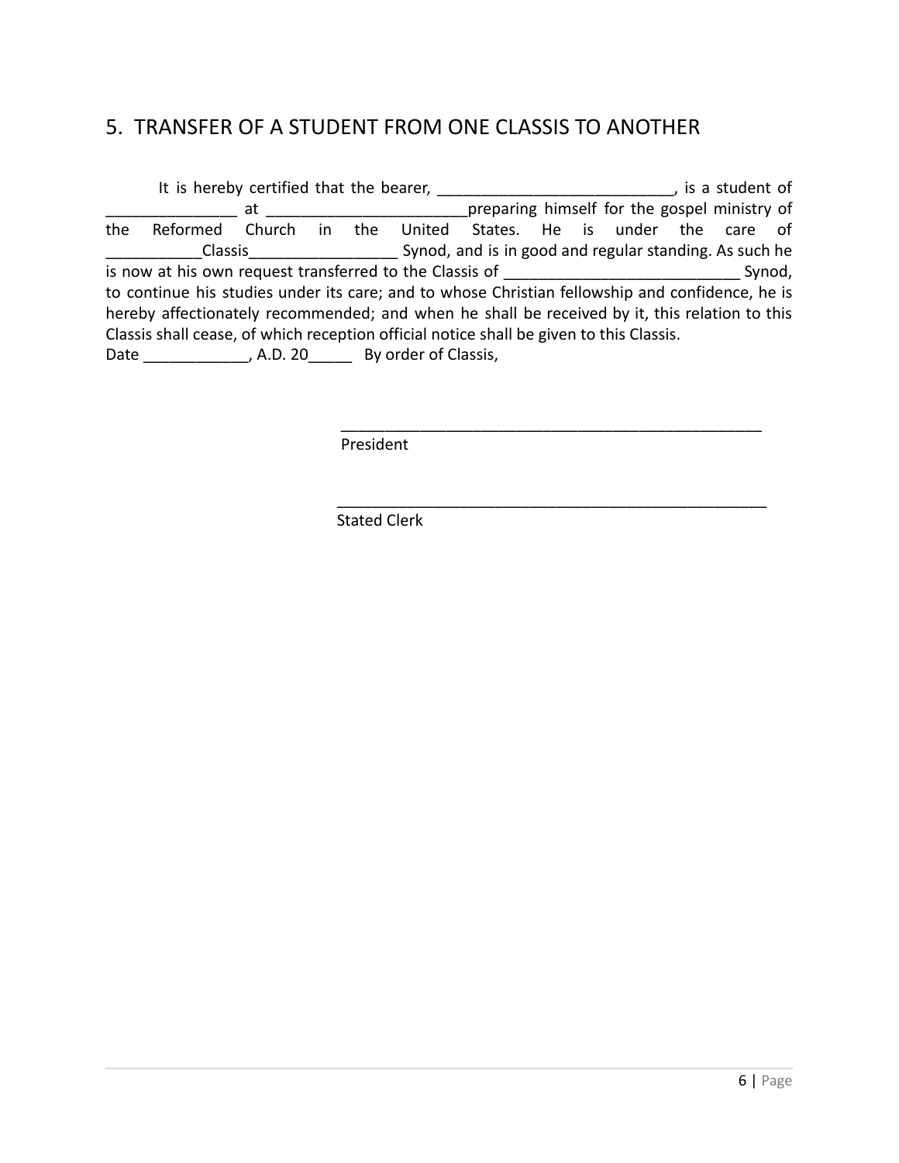### <span id="page-5-0"></span>5. TRANSFER OF A STUDENT FROM ONE CLASSIS TO ANOTHER

It is hereby certified that the bearer, The student of the student of at at the gospel ministry of preparing himself for the gospel ministry of the Reformed Church in the United States. He is under the care of \_\_\_\_\_\_\_\_\_\_\_Classis\_\_\_\_\_\_\_\_\_\_\_\_\_\_\_\_\_ Synod, and is in good and regular standing. As such he is now at his own request transferred to the Classis of \_\_\_\_\_\_\_\_\_\_\_\_\_\_\_\_\_\_\_\_\_\_\_\_\_\_\_ Synod, to continue his studies under its care; and to whose Christian fellowship and confidence, he is hereby affectionately recommended; and when he shall be received by it, this relation to this Classis shall cease, of which reception official notice shall be given to this Classis. Date \_\_\_\_\_\_\_\_\_\_\_\_, A.D. 20\_\_\_\_\_\_\_ By order of Classis,

\_\_\_\_\_\_\_\_\_\_\_\_\_\_\_\_\_\_\_\_\_\_\_\_\_\_\_\_\_\_\_\_\_\_\_\_\_\_\_\_\_\_\_\_\_\_\_\_

\_\_\_\_\_\_\_\_\_\_\_\_\_\_\_\_\_\_\_\_\_\_\_\_\_\_\_\_\_\_\_\_\_\_\_\_\_\_\_\_\_\_\_\_\_\_\_\_\_

President

Stated Clerk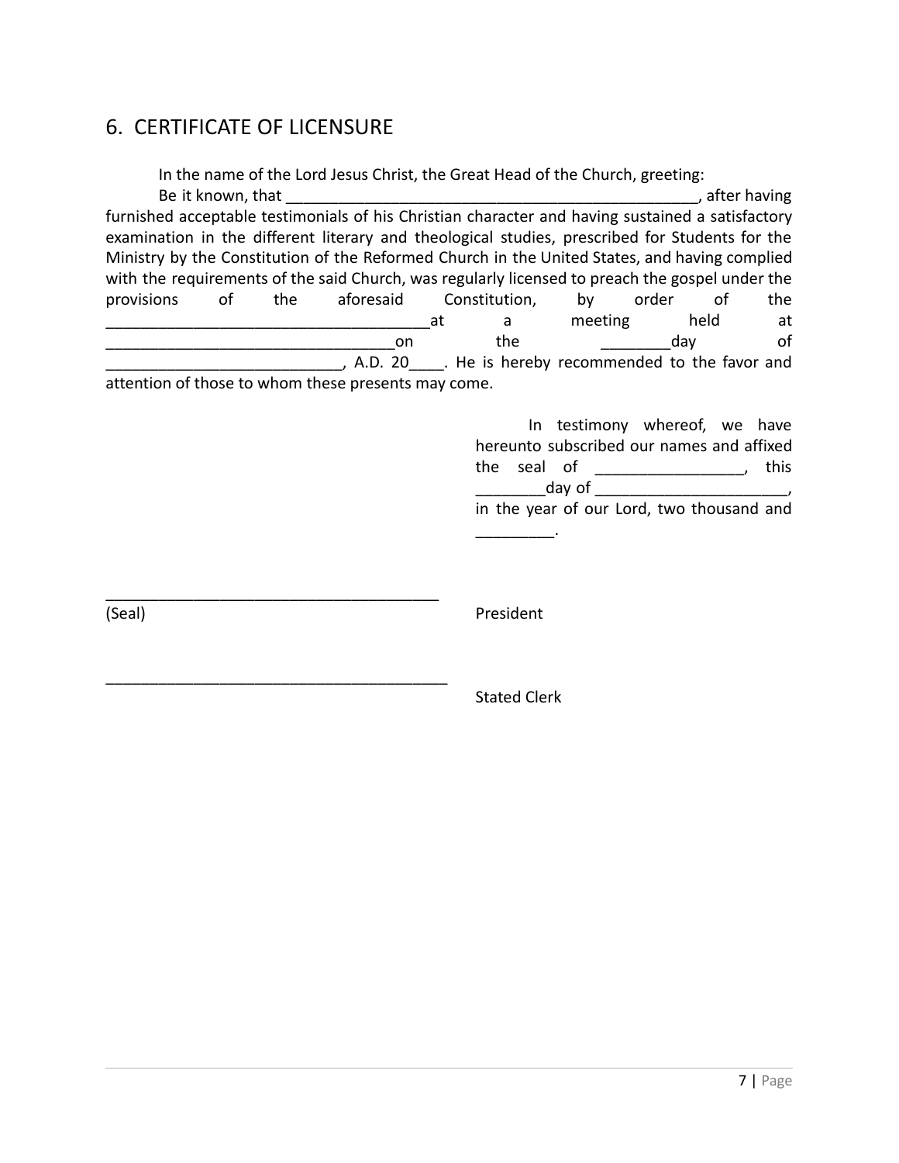### <span id="page-6-0"></span>6. CERTIFICATE OF LICENSURE

\_\_\_\_\_\_\_\_\_\_\_\_\_\_\_\_\_\_\_\_\_\_\_\_\_\_\_\_\_\_\_\_\_\_\_\_\_\_

\_\_\_\_\_\_\_\_\_\_\_\_\_\_\_\_\_\_\_\_\_\_\_\_\_\_\_\_\_\_\_\_\_\_\_\_\_\_\_

In the name of the Lord Jesus Christ, the Great Head of the Church, greeting: Be it known, that **Example 2** and the set of the set of the set of the set of the set of the set of the set of the set of the set of the set of the set of the set of the set of the set of the set of the set of the set of t furnished acceptable testimonials of his Christian character and having sustained a satisfactory examination in the different literary and theological studies, prescribed for Students for the Ministry by the Constitution of the Reformed Church in the United States, and having complied with the requirements of the said Church, was regularly licensed to preach the gospel under the provisions of the aforesaid Constitution, by order of the \_\_\_\_\_\_\_\_\_\_\_\_\_\_\_\_\_\_\_\_\_\_\_\_\_\_\_\_\_\_\_\_\_\_\_\_\_at a meeting held at \_\_\_\_\_\_\_\_\_\_\_\_\_\_\_\_\_\_\_\_\_\_\_\_\_\_\_\_\_\_\_\_\_on the \_\_\_\_\_\_\_\_day of \_\_\_\_\_\_\_\_\_\_\_\_\_\_\_\_\_\_\_\_\_\_\_\_\_\_\_, A.D. 20\_\_\_\_. He is hereby recommended to the favor and attention of those to whom these presents may come.

> In testimony whereof, we have hereunto subscribed our names and affixed the seal of the seal of  $d$ ay of  $\Box$ in the year of our Lord, two thousand and \_\_\_\_\_\_\_\_\_.

(Seal) President

Stated Clerk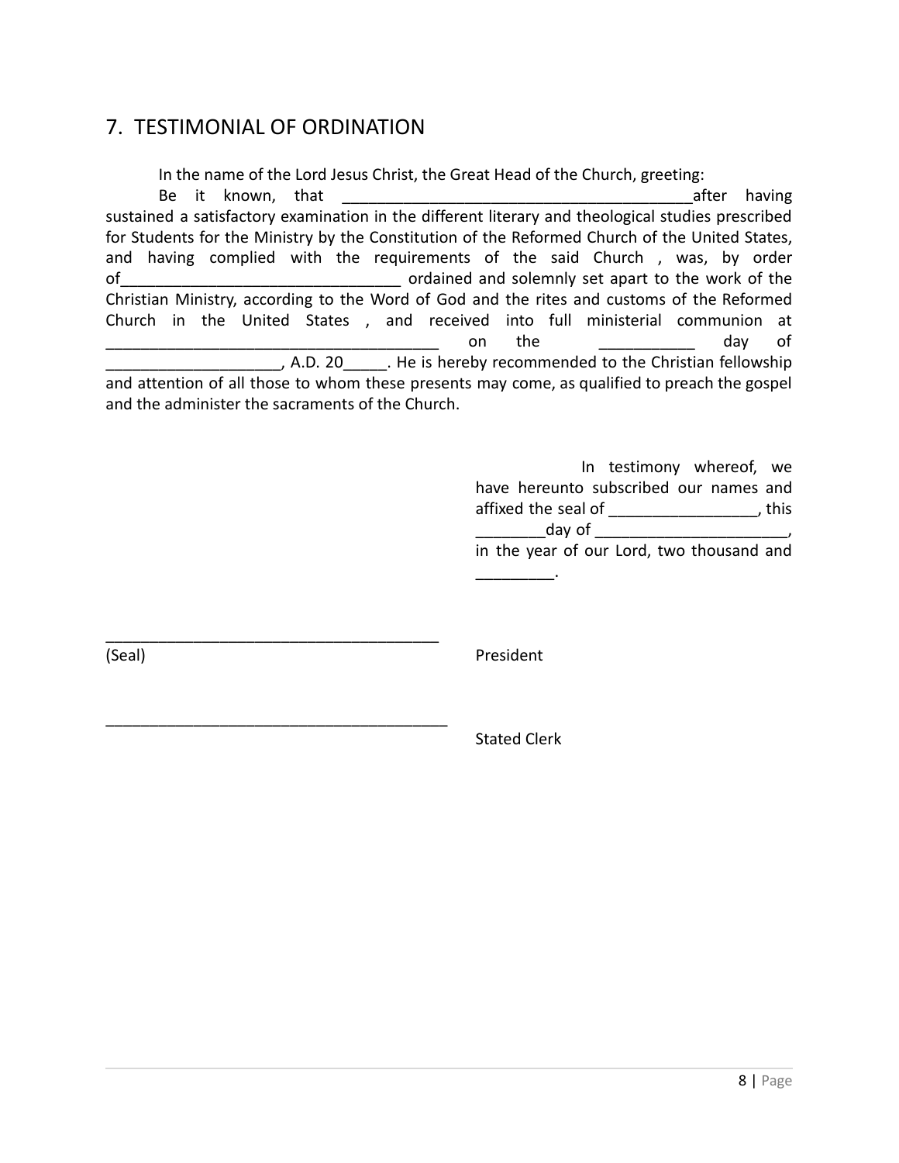#### <span id="page-7-0"></span>7. TESTIMONIAL OF ORDINATION

\_\_\_\_\_\_\_\_\_\_\_\_\_\_\_\_\_\_\_\_\_\_\_\_\_\_\_\_\_\_\_\_\_\_\_\_\_\_

\_\_\_\_\_\_\_\_\_\_\_\_\_\_\_\_\_\_\_\_\_\_\_\_\_\_\_\_\_\_\_\_\_\_\_\_\_\_\_

In the name of the Lord Jesus Christ, the Great Head of the Church, greeting:

Be it known, that  $\Box$ sustained a satisfactory examination in the different literary and theological studies prescribed for Students for the Ministry by the Constitution of the Reformed Church of the United States, and having complied with the requirements of the said Church , was, by order of\_\_\_\_\_\_\_\_\_\_\_\_\_\_\_\_\_\_\_\_\_\_\_\_\_\_\_\_\_\_\_\_ ordained and solemnly set apart to the work of the Christian Ministry, according to the Word of God and the rites and customs of the Reformed Church in the United States , and received into full ministerial communion at \_\_\_\_\_\_\_\_\_\_\_\_\_\_\_\_\_\_\_\_\_\_\_\_\_\_\_\_\_\_\_\_\_\_\_\_\_\_ on the \_\_\_\_\_\_\_\_\_\_\_ day of \_\_\_\_\_\_\_\_\_\_\_\_\_\_\_\_\_\_\_\_, A.D. 20\_\_\_\_\_. He is hereby recommended to the Christian fellowship and attention of all those to whom these presents may come, as qualified to preach the gospel and the administer the sacraments of the Church.

> In testimony whereof, we have hereunto subscribed our names and affixed the seal of  $\overline{\phantom{a}}$ , this  $d$ ay of  $\Box$

in the year of our Lord, two thousand and \_\_\_\_\_\_\_\_\_.

(Seal) President

Stated Clerk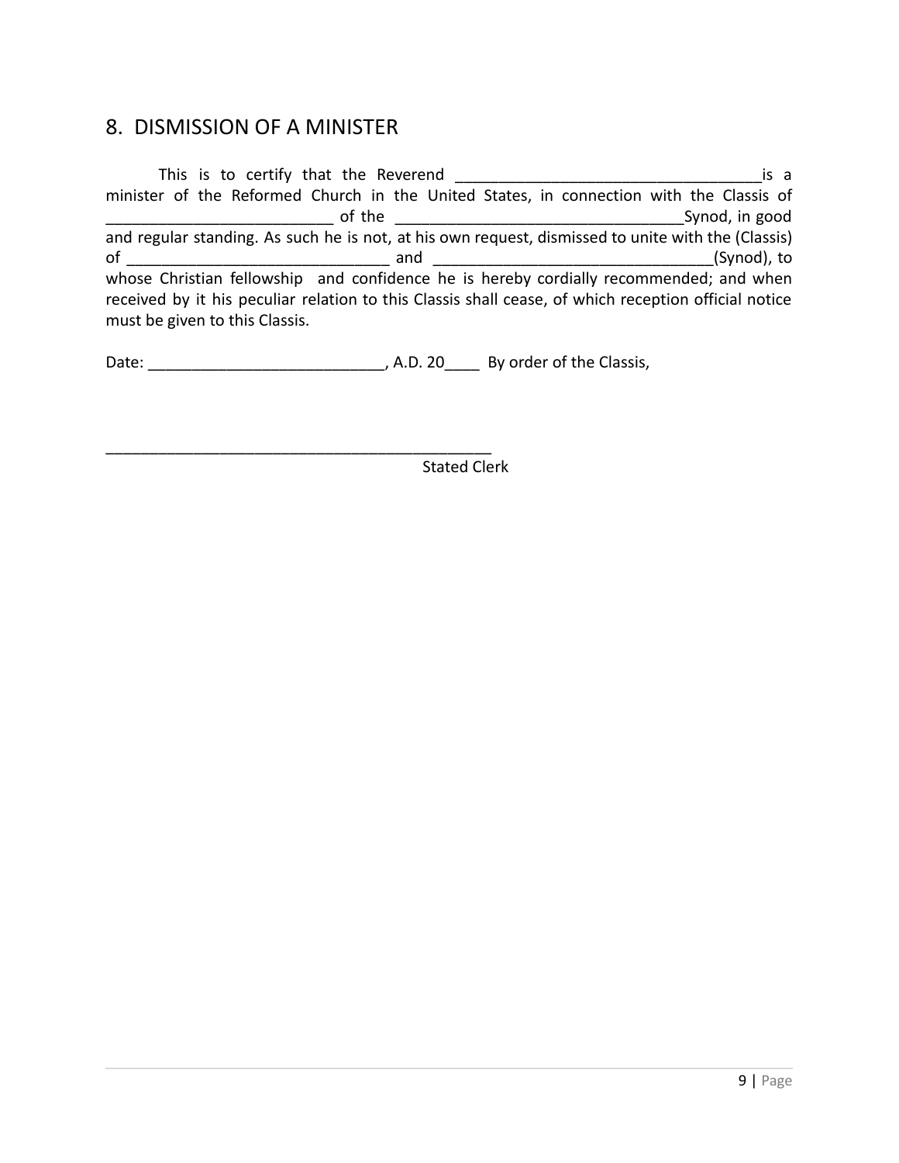#### <span id="page-8-0"></span>8. DISMISSION OF A MINISTER

This is to certify that the Reverend \_\_\_\_\_\_\_\_\_\_\_\_\_\_\_\_\_\_\_\_\_\_\_\_\_\_\_\_\_\_\_\_\_\_\_is a minister of the Reformed Church in the United States, in connection with the Classis of \_\_\_\_\_\_\_\_\_\_\_\_\_\_\_\_\_\_\_\_\_\_\_\_\_\_ of the \_\_\_\_\_\_\_\_\_\_\_\_\_\_\_\_\_\_\_\_\_\_\_\_\_\_\_\_\_\_\_\_\_Synod, in good and regular standing. As such he is not, at his own request, dismissed to unite with the (Classis) of  $\overline{\phantom{a}}$  and  $\overline{\phantom{a}}$  and  $\overline{\phantom{a}}$  (Synod), to whose Christian fellowship and confidence he is hereby cordially recommended; and when received by it his peculiar relation to this Classis shall cease, of which reception official notice must be given to this Classis.

Date: \_\_\_\_\_\_\_\_\_\_\_\_\_\_\_\_\_\_\_\_\_\_\_\_\_\_\_\_\_\_\_\_, A.D. 20\_\_\_\_\_\_\_\_\_\_\_\_\_\_\_\_\_\_\_\_\_\_\_\_\_\_\_\_\_\_\_\_\_\_

\_\_\_\_\_\_\_\_\_\_\_\_\_\_\_\_\_\_\_\_\_\_\_\_\_\_\_\_\_\_\_\_\_\_\_\_\_\_\_\_\_\_\_\_ Stated Clerk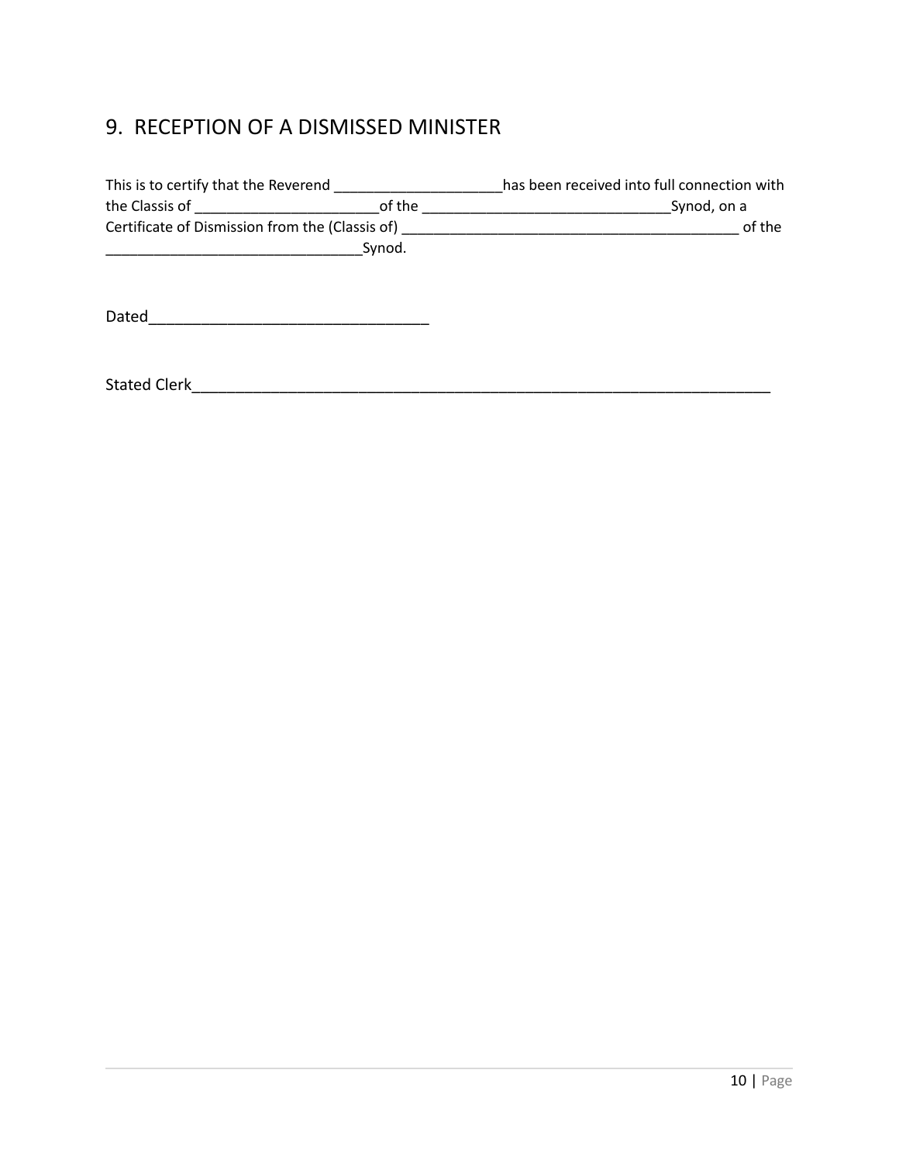# <span id="page-9-0"></span>9. RECEPTION OF A DISMISSED MINISTER

| This is to certify that the Reverend ______                                                                                                                                                                                   |        | has been received into full connection with                                                |  |  |
|-------------------------------------------------------------------------------------------------------------------------------------------------------------------------------------------------------------------------------|--------|--------------------------------------------------------------------------------------------|--|--|
| the Classis of The Classic of The Classic of The Classic of The Classic of the Classic of the Classic of the Classic of the Classic of the Classic of the Classic of the Classic of the Classic of the Classic of the Classic |        | Synod, on a<br><u> 1989 - Andrea Station, amerikansk politiker (</u>                       |  |  |
|                                                                                                                                                                                                                               |        | of the<br>Certificate of Dismission from the (Classis of) ________________________________ |  |  |
|                                                                                                                                                                                                                               | Synod. |                                                                                            |  |  |
|                                                                                                                                                                                                                               |        |                                                                                            |  |  |
|                                                                                                                                                                                                                               |        |                                                                                            |  |  |
| Dated                                                                                                                                                                                                                         |        |                                                                                            |  |  |
|                                                                                                                                                                                                                               |        |                                                                                            |  |  |
|                                                                                                                                                                                                                               |        |                                                                                            |  |  |
| <b>Stated Clerk</b>                                                                                                                                                                                                           |        |                                                                                            |  |  |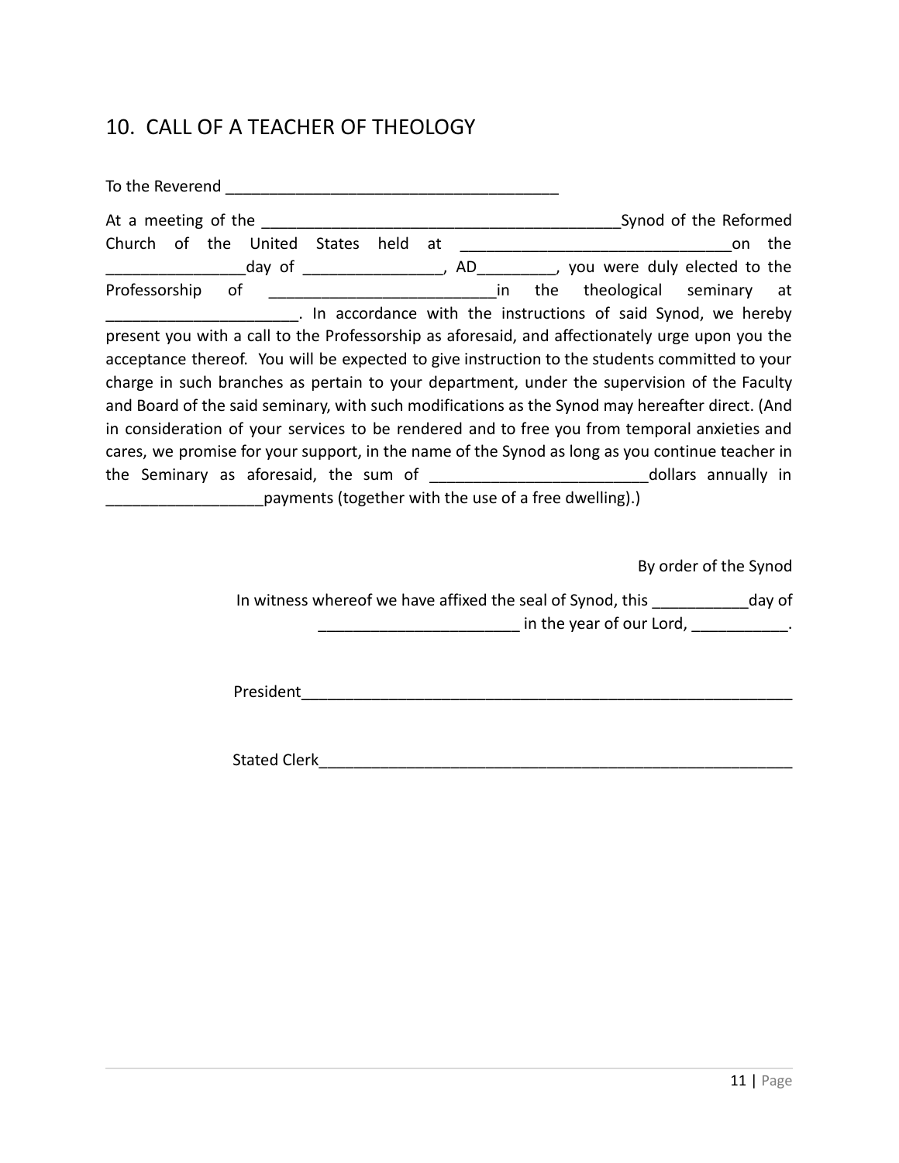## <span id="page-10-0"></span>10. CALL OF A TEACHER OF THEOLOGY

| the                                                                                             |
|-------------------------------------------------------------------------------------------------|
|                                                                                                 |
| Professorship of _________________________________in the theological seminary at                |
| . In accordance with the instructions of said Synod, we hereby                                  |
| present you with a call to the Professorship as aforesaid, and affectionately urge upon you the |
| acceptance thereof. You will be expected to give instruction to the students committed to your  |
| charge in such branches as pertain to your department, under the supervision of the Faculty     |
| and Board of the said seminary, with such modifications as the Synod may hereafter direct. (And |
| in consideration of your services to be rendered and to free you from temporal anxieties and    |
| cares, we promise for your support, in the name of the Synod as long as you continue teacher in |
|                                                                                                 |
| payments (together with the use of a free dwelling).)                                           |
|                                                                                                 |
|                                                                                                 |
| By order of the Synod                                                                           |
| In witness whereof we have affixed the seal of Synod, this ______________day of                 |

\_\_\_\_\_\_\_\_\_\_\_\_\_\_\_\_\_\_\_\_\_\_\_\_\_\_\_\_\_\_\_ in the year of our Lord, \_\_\_\_\_\_\_\_\_\_\_\_\_\_.

President\_\_\_\_\_\_\_\_\_\_\_\_\_\_\_\_\_\_\_\_\_\_\_\_\_\_\_\_\_\_\_\_\_\_\_\_\_\_\_\_\_\_\_\_\_\_\_\_\_\_\_\_\_\_\_\_

Stated Clerk\_\_\_\_\_\_\_\_\_\_\_\_\_\_\_\_\_\_\_\_\_\_\_\_\_\_\_\_\_\_\_\_\_\_\_\_\_\_\_\_\_\_\_\_\_\_\_\_\_\_\_\_\_\_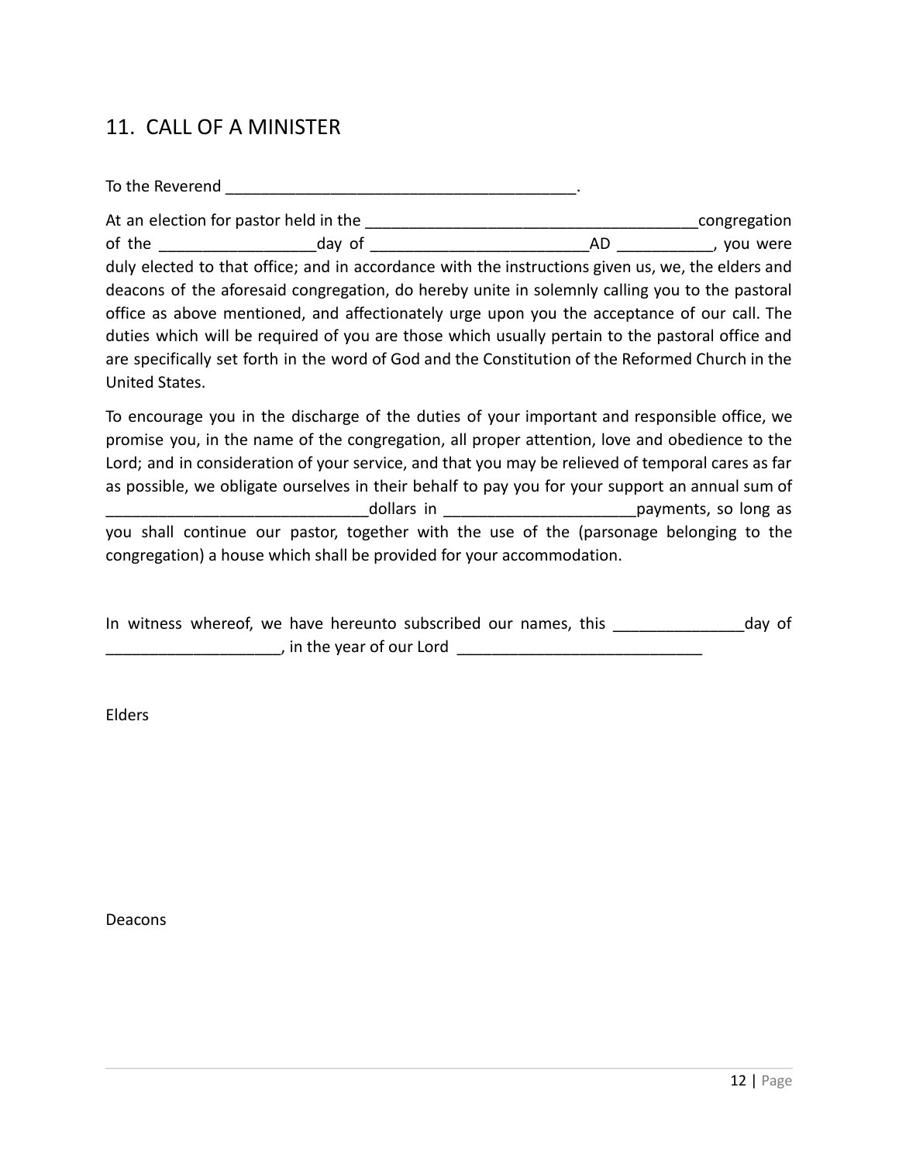### <span id="page-11-0"></span>11. CALL OF A MINISTER

To the Reverend To the Reverend To the Reverend To the Reverend To the Reverence  $\sim$ At an election for pastor held in the \_\_\_\_\_\_\_\_\_\_\_\_\_\_\_\_\_\_\_\_\_\_\_\_\_\_\_\_\_\_\_\_\_\_\_\_\_\_congregation of the the contract of the contract day of the contract day of the contract  $AD$ , you were duly elected to that office; and in accordance with the instructions given us, we, the elders and deacons of the aforesaid congregation, do hereby unite in solemnly calling you to the pastoral office as above mentioned, and affectionately urge upon you the acceptance of our call. The duties which will be required of you are those which usually pertain to the pastoral office and are specifically set forth in the word of God and the Constitution of the Reformed Church in the United States.

To encourage you in the discharge of the duties of your important and responsible office, we promise you, in the name of the congregation, all proper attention, love and obedience to the Lord; and in consideration of your service, and that you may be relieved of temporal cares as far as possible, we obligate ourselves in their behalf to pay you for your support an annual sum of dollars in the solution of the payments, so long as you shall continue our pastor, together with the use of the (parsonage belonging to the congregation) a house which shall be provided for your accommodation.

|  |  |                           | In witness whereof, we have hereunto subscribed our names, this |  |  | day of |  |
|--|--|---------------------------|-----------------------------------------------------------------|--|--|--------|--|
|  |  | , in the year of our Lord |                                                                 |  |  |        |  |

Elders

Deacons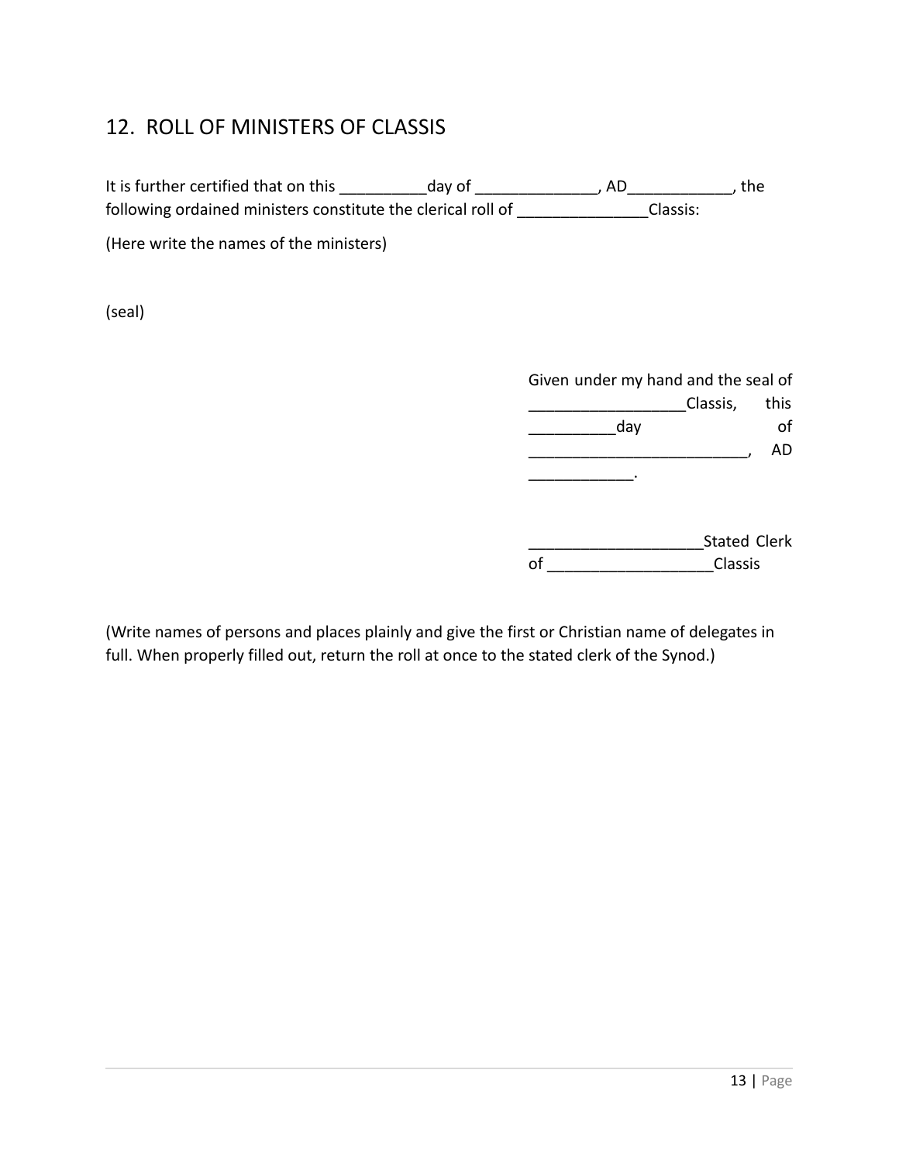# <span id="page-12-0"></span>12. ROLL OF MINISTERS OF CLASSIS

It is further certified that on this \_\_\_\_\_\_\_\_\_\_\_day of \_\_\_\_\_\_\_\_\_\_\_\_\_, AD\_\_\_\_\_\_\_\_\_\_\_\_, the following ordained ministers constitute the clerical roll of \_\_\_\_\_\_\_\_\_\_\_\_\_\_\_\_Classis: (Here write the names of the ministers) (seal) Given under my hand and the seal of \_\_\_\_\_\_\_\_\_\_\_\_\_\_\_\_\_\_Classis, this day of  $\overline{A}$  $\frac{1}{2}$ \_\_\_\_\_\_\_\_\_\_\_\_\_\_\_\_\_\_\_\_Stated Clerk of **Classis** 

(Write names of persons and places plainly and give the first or Christian name of delegates in full. When properly filled out, return the roll at once to the stated clerk of the Synod.)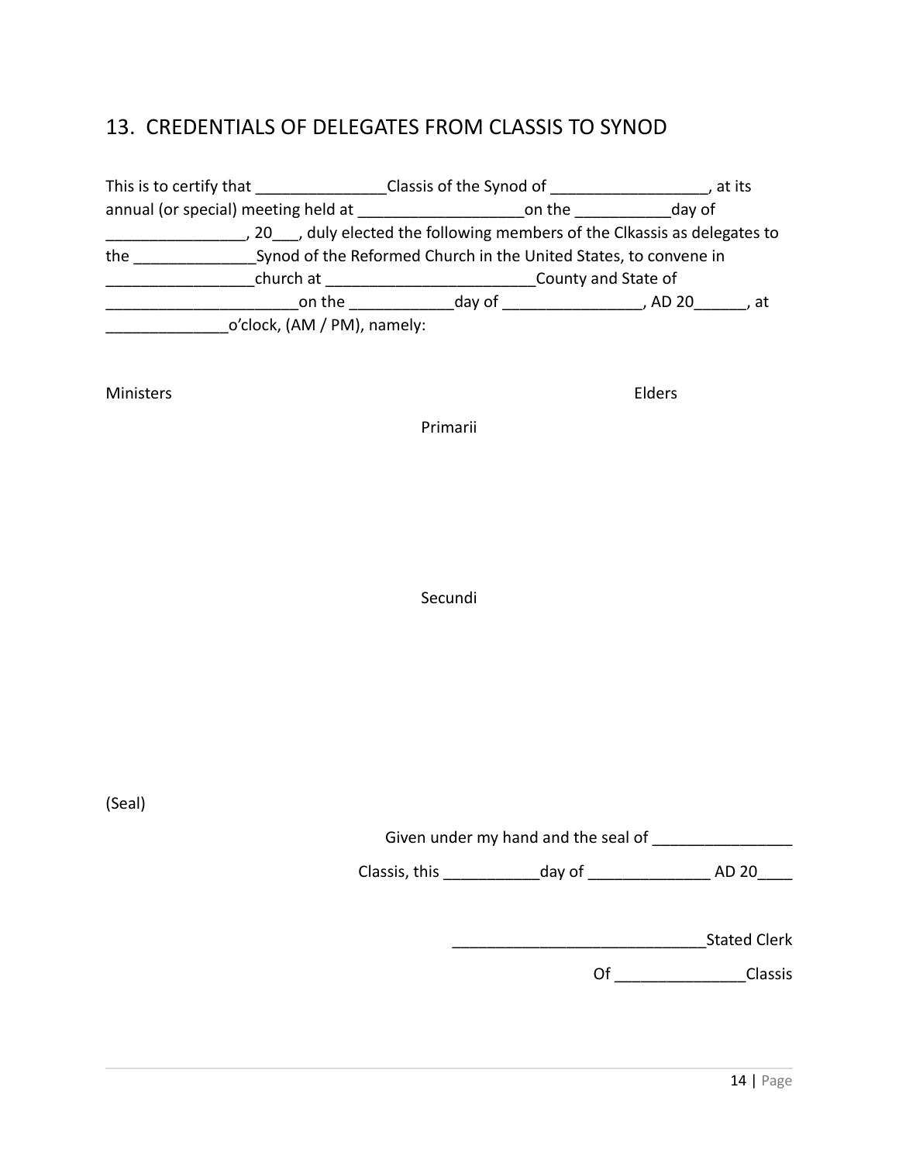### <span id="page-13-0"></span>13. CREDENTIALS OF DELEGATES FROM CLASSIS TO SYNOD

| This is to certify that             | Classis of the Synod of                                                 | , at its            |
|-------------------------------------|-------------------------------------------------------------------------|---------------------|
| annual (or special) meeting held at | on the                                                                  | day of              |
|                                     | 20 , duly elected the following members of the Clkassis as delegates to |                     |
| the                                 | Synod of the Reformed Church in the United States, to convene in        |                     |
| church at                           |                                                                         | County and State of |
| on the                              | day of                                                                  | . AD 20<br>. at     |
| o'clock, (AM / PM), namely:         |                                                                         |                     |

Ministers Elders

Primarii

Secundi

(Seal)

Given under my hand and the seal of \_\_\_\_\_\_\_\_\_\_\_\_\_\_\_\_

Classis, this \_\_\_\_\_\_\_\_\_\_\_day of \_\_\_\_\_\_\_\_\_\_\_\_\_\_ AD 20\_\_\_\_

| <b>Stated Clerk</b> |  |
|---------------------|--|
|---------------------|--|

Of \_\_\_\_\_\_\_\_\_\_\_\_\_\_\_Classis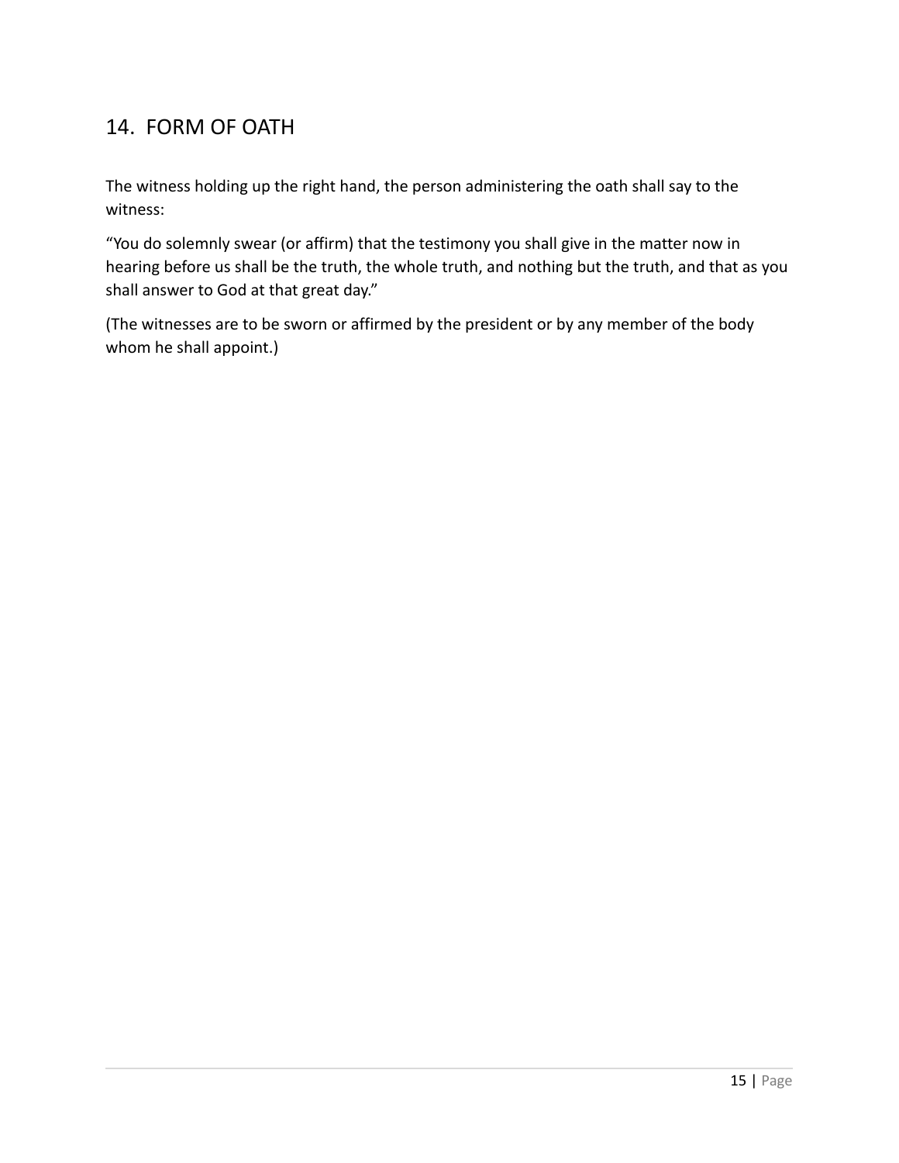# <span id="page-14-0"></span>14. FORM OF OATH

The witness holding up the right hand, the person administering the oath shall say to the witness:

"You do solemnly swear (or affirm) that the testimony you shall give in the matter now in hearing before us shall be the truth, the whole truth, and nothing but the truth, and that as you shall answer to God at that great day."

(The witnesses are to be sworn or affirmed by the president or by any member of the body whom he shall appoint.)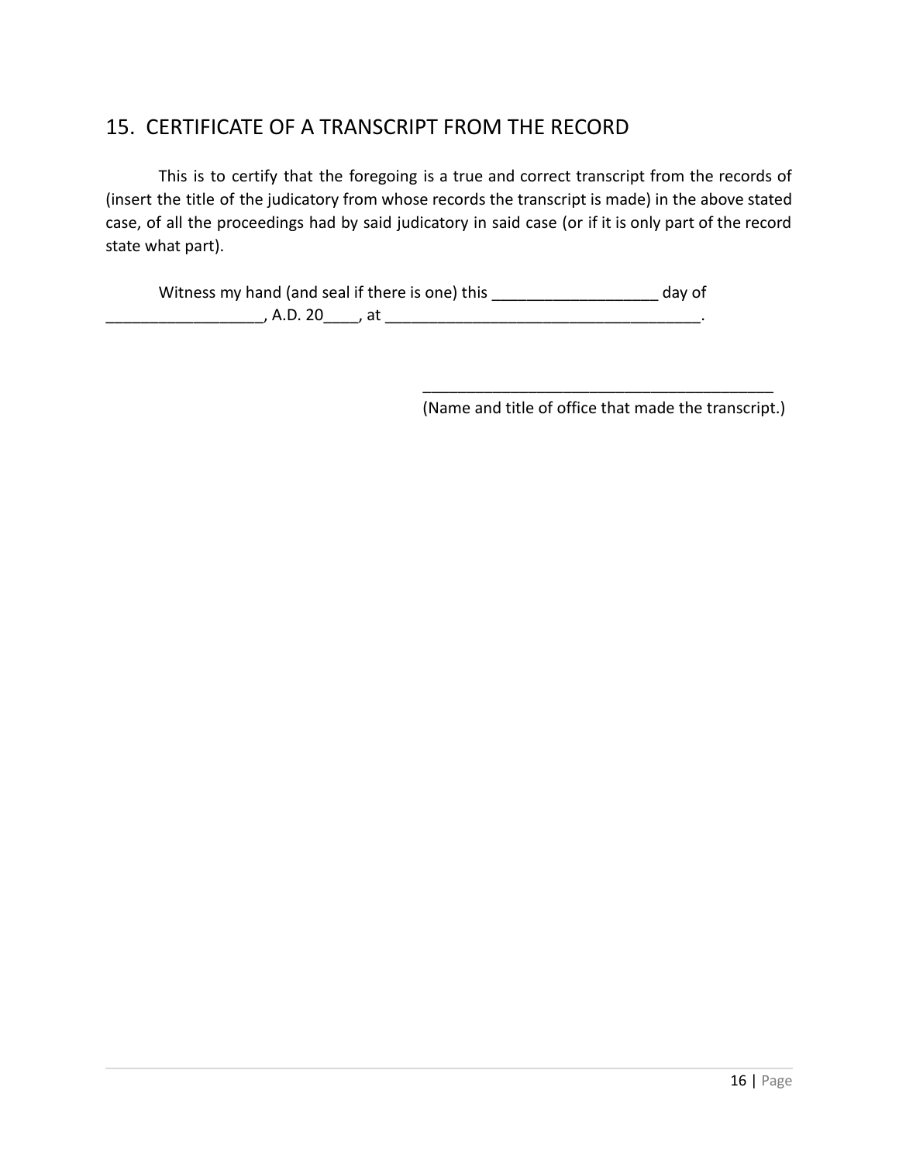## <span id="page-15-0"></span>15. CERTIFICATE OF A TRANSCRIPT FROM THE RECORD

This is to certify that the foregoing is a true and correct transcript from the records of (insert the title of the judicatory from whose records the transcript is made) in the above stated case, of all the proceedings had by said judicatory in said case (or if it is only part of the record state what part).

Witness my hand (and seal if there is one) this \_\_\_\_\_\_\_\_\_\_\_\_\_\_\_\_\_\_\_\_\_\_ day of  $\blacksquare$ , A.D. 20  $\blacksquare$  , at  $\blacksquare$ 

> \_\_\_\_\_\_\_\_\_\_\_\_\_\_\_\_\_\_\_\_\_\_\_\_\_\_\_\_\_\_\_\_\_\_\_\_\_\_\_\_ (Name and title of office that made the transcript.)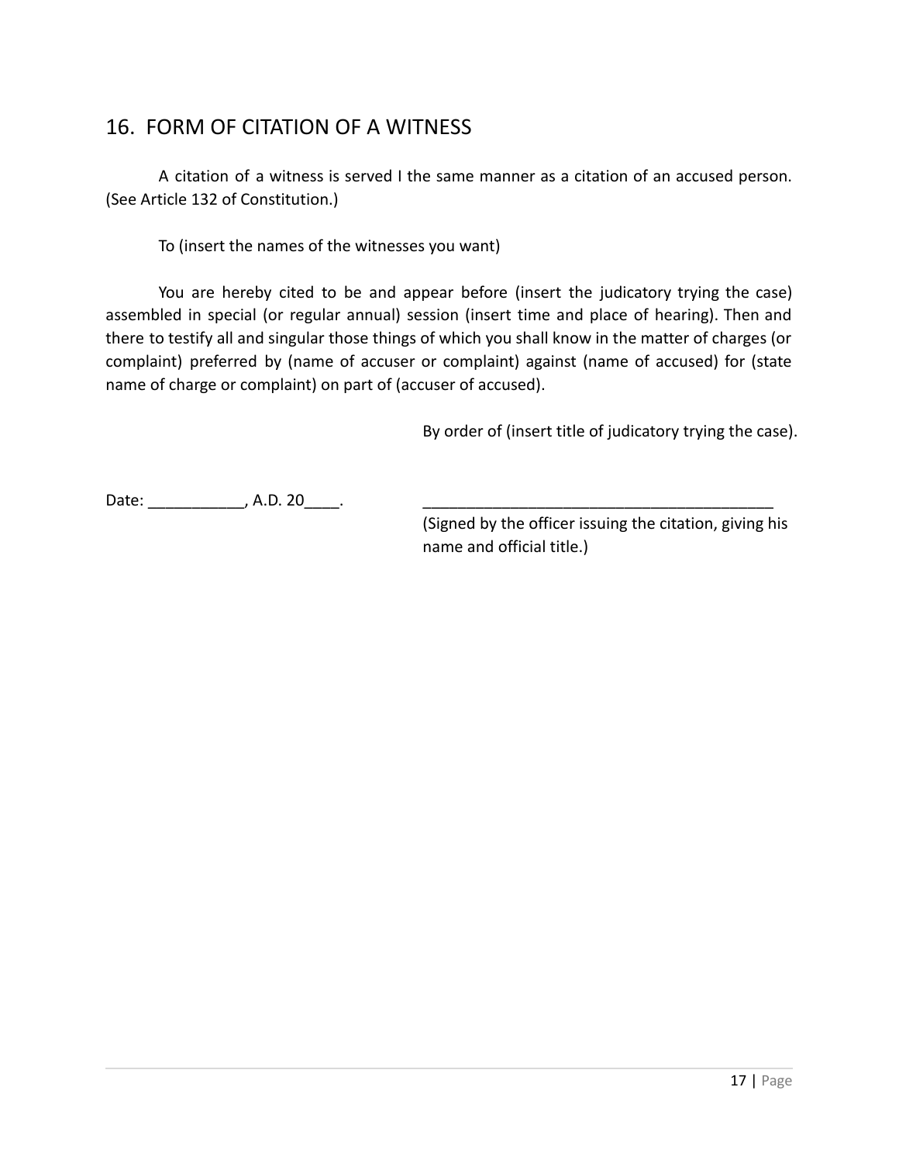## <span id="page-16-0"></span>16. FORM OF CITATION OF A WITNESS

A citation of a witness is served I the same manner as a citation of an accused person. (See Article 132 of Constitution.)

To (insert the names of the witnesses you want)

You are hereby cited to be and appear before (insert the judicatory trying the case) assembled in special (or regular annual) session (insert time and place of hearing). Then and there to testify all and singular those things of which you shall know in the matter of charges (or complaint) preferred by (name of accuser or complaint) against (name of accused) for (state name of charge or complaint) on part of (accuser of accused).

By order of (insert title of judicatory trying the case).

Date: \_\_\_\_\_\_\_\_\_\_\_\_\_\_, A.D. 20\_\_\_\_\_.

(Signed by the officer issuing the citation, giving his name and official title.)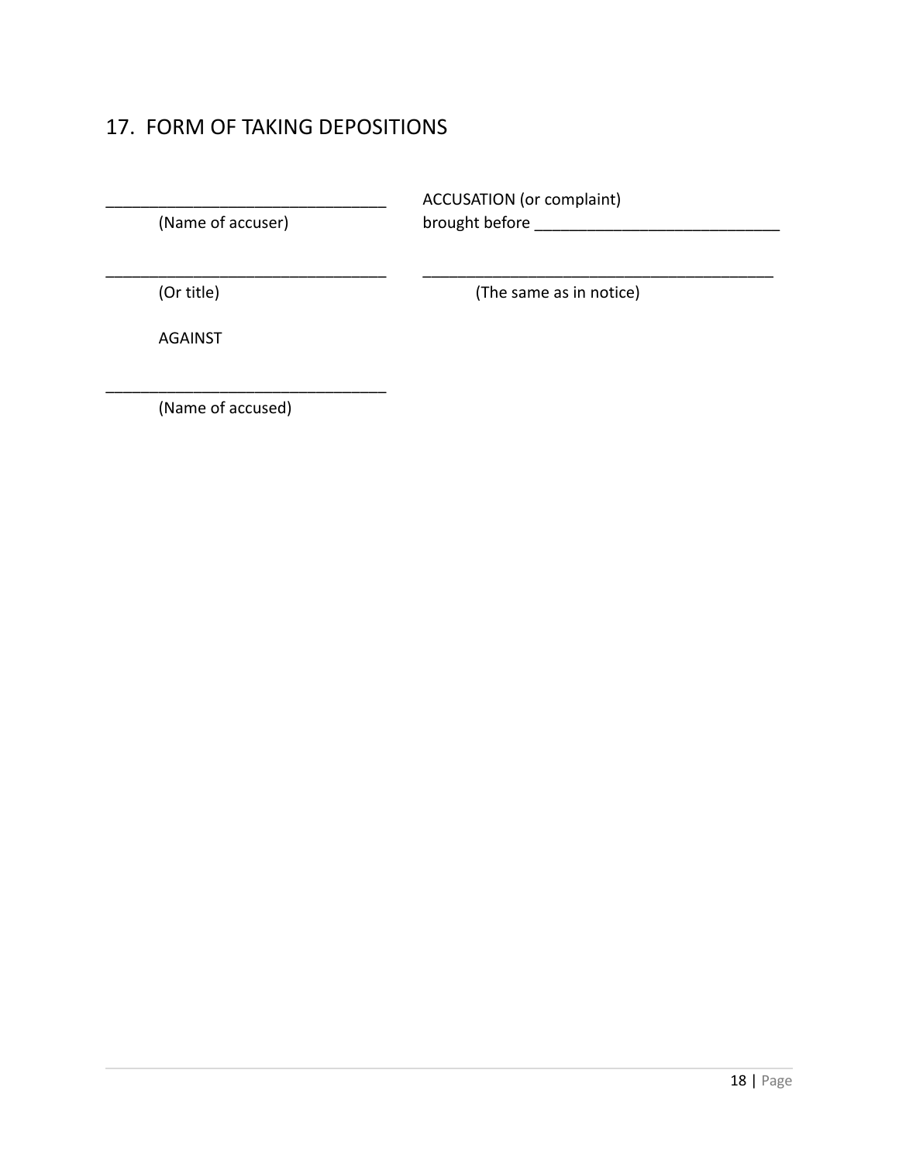# <span id="page-17-0"></span>17. FORM OF TAKING DEPOSITIONS

| (Name of accuser) | <b>ACCUSATION</b> (or complaint)<br>brought before |
|-------------------|----------------------------------------------------|
| (Or title)        | (The same as in notice)                            |
| <b>AGAINST</b>    |                                                    |

(Name of accused)

\_\_\_\_\_\_\_\_\_\_\_\_\_\_\_\_\_\_\_\_\_\_\_\_\_\_\_\_\_\_\_\_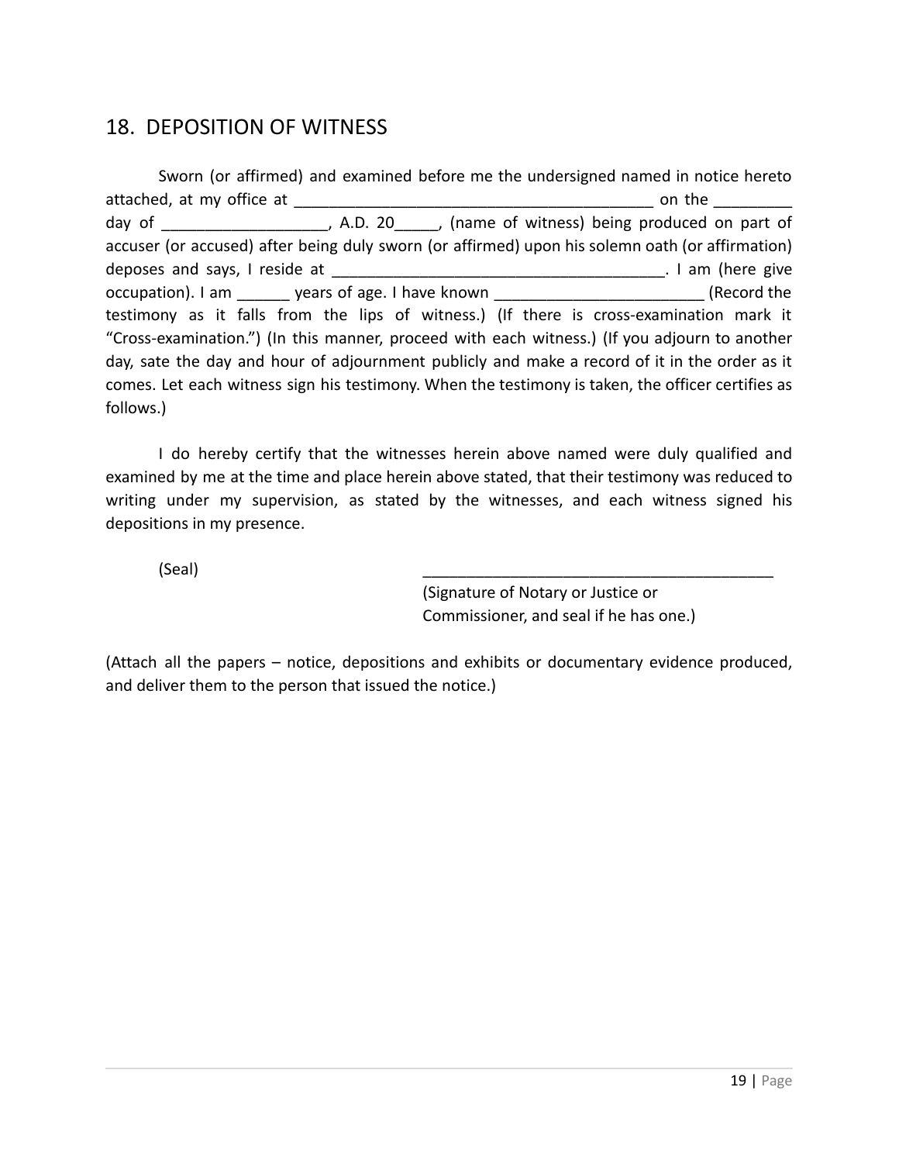## <span id="page-18-0"></span>18. DEPOSITION OF WITNESS

Sworn (or affirmed) and examined before me the undersigned named in notice hereto attached, at my office at \_\_\_\_\_\_\_\_\_\_\_\_\_\_\_\_\_\_\_\_\_\_\_\_\_\_\_\_\_\_\_\_\_\_\_\_\_\_\_\_\_ on the \_\_\_\_\_\_\_\_\_ day of The Compact Compact A.D. 20 The Multimess of witness) being produced on part of accuser (or accused) after being duly sworn (or affirmed) upon his solemn oath (or affirmation) deposes and says, I reside at \_\_\_\_\_\_\_\_\_\_\_\_\_\_\_\_\_\_\_\_\_\_\_\_\_\_\_\_\_\_\_\_\_\_\_\_\_\_. I am (here give occupation). I am \_\_\_\_\_\_\_ years of age. I have known denoted the second the second the testimony as it falls from the lips of witness.) (If there is cross-examination mark it "Cross-examination.") (In this manner, proceed with each witness.) (If you adjourn to another day, sate the day and hour of adjournment publicly and make a record of it in the order as it comes. Let each witness sign his testimony. When the testimony is taken, the officer certifies as follows.)

I do hereby certify that the witnesses herein above named were duly qualified and examined by me at the time and place herein above stated, that their testimony was reduced to writing under my supervision, as stated by the witnesses, and each witness signed his depositions in my presence.

(Seal) \_\_\_\_\_\_\_\_\_\_\_\_\_\_\_\_\_\_\_\_\_\_\_\_\_\_\_\_\_\_\_\_\_\_\_\_\_\_\_\_

(Signature of Notary or Justice or Commissioner, and seal if he has one.)

(Attach all the papers – notice, depositions and exhibits or documentary evidence produced, and deliver them to the person that issued the notice.)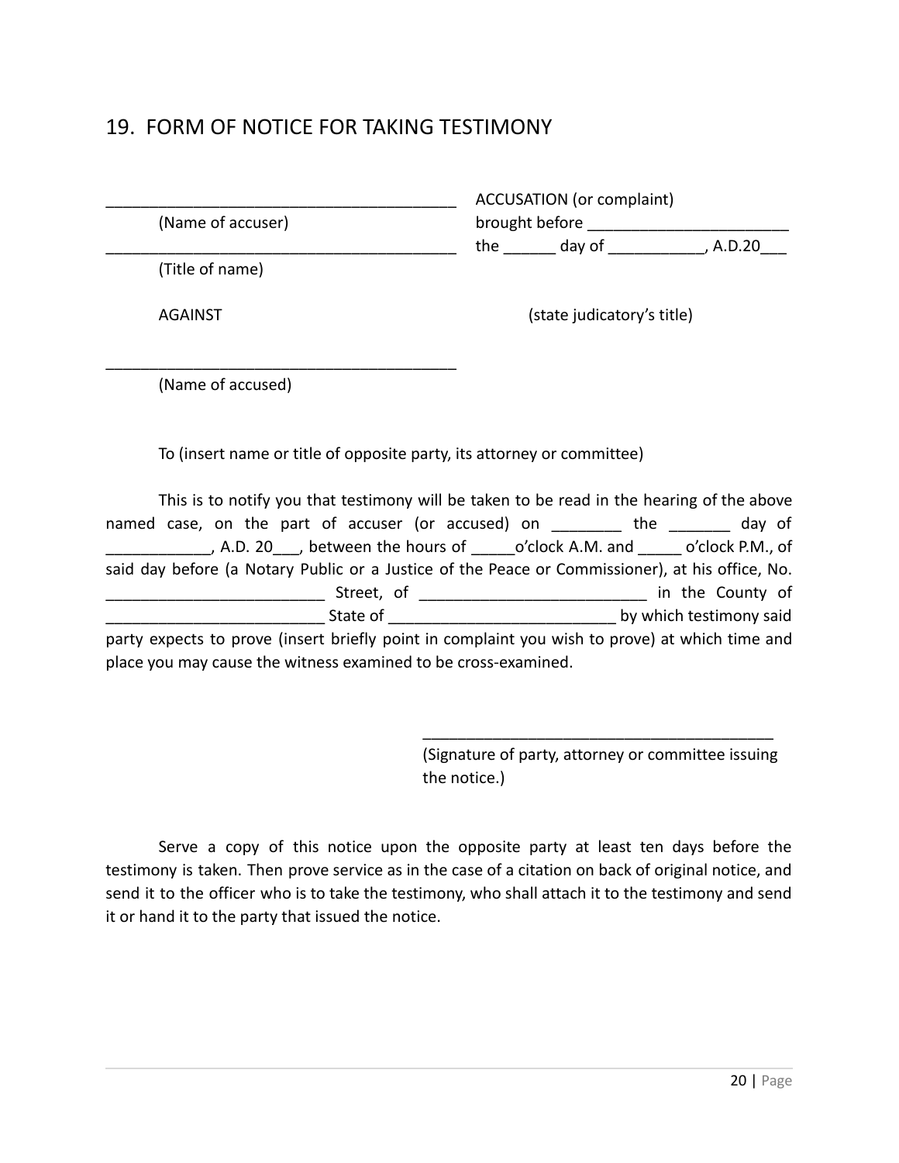#### <span id="page-19-0"></span>19. FORM OF NOTICE FOR TAKING TESTIMONY

| (Name of accuser) | <b>ACCUSATION</b> (or complaint)<br>brought before                     |
|-------------------|------------------------------------------------------------------------|
|                   | the day of<br>, A.D.20                                                 |
| (Title of name)   |                                                                        |
| <b>AGAINST</b>    | (state judicatory's title)                                             |
| (Name of accused) |                                                                        |
|                   | To (insert name or title of opposite party, its attorney or committee) |

This is to notify you that testimony will be taken to be read in the hearing of the above named case, on the part of accuser (or accused) on \_\_\_\_\_\_\_\_ the \_\_\_\_\_\_\_ day of \_\_\_\_\_\_\_\_\_\_\_\_, A.D. 20\_\_\_, between the hours of \_\_\_\_\_o'clock A.M. and \_\_\_\_\_ o'clock P.M., of said day before (a Notary Public or a Justice of the Peace or Commissioner), at his office, No. \_\_\_\_\_\_\_\_\_\_\_\_\_\_\_\_\_\_\_\_\_\_\_\_\_ Street, of \_\_\_\_\_\_\_\_\_\_\_\_\_\_\_\_\_\_\_\_\_\_\_\_\_\_ in the County of State of the state of the state of the state of  $\mathbf{b}$  which testimony said party expects to prove (insert briefly point in complaint you wish to prove) at which time and

place you may cause the witness examined to be cross-examined.

(Signature of party, attorney or committee issuing the notice.)

\_\_\_\_\_\_\_\_\_\_\_\_\_\_\_\_\_\_\_\_\_\_\_\_\_\_\_\_\_\_\_\_\_\_\_\_\_\_\_\_

Serve a copy of this notice upon the opposite party at least ten days before the testimony is taken. Then prove service as in the case of a citation on back of original notice, and send it to the officer who is to take the testimony, who shall attach it to the testimony and send it or hand it to the party that issued the notice.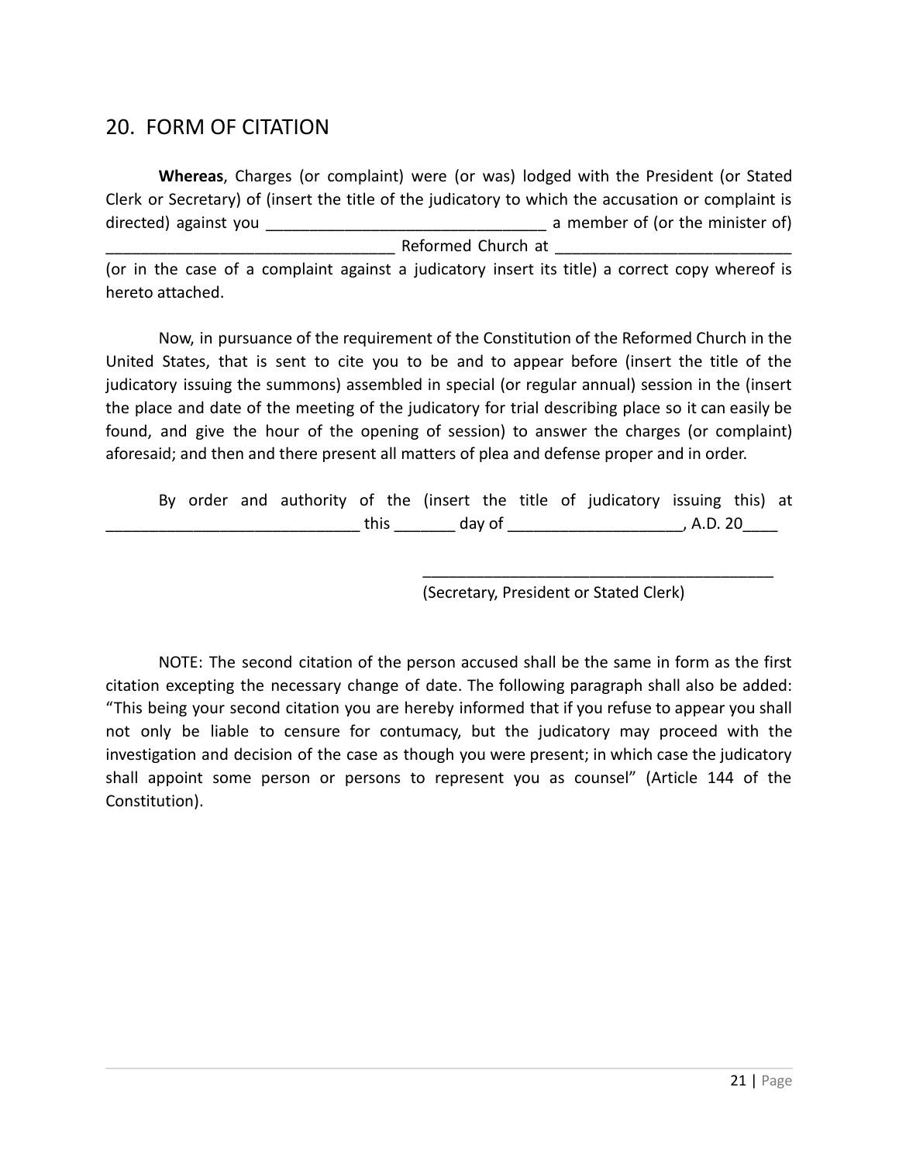#### <span id="page-20-0"></span>20. FORM OF CITATION

**Whereas**, Charges (or complaint) were (or was) lodged with the President (or Stated Clerk or Secretary) of (insert the title of the judicatory to which the accusation or complaint is directed) against you \_\_\_\_\_\_\_\_\_\_\_\_\_\_\_\_\_\_\_\_\_\_\_\_\_\_\_\_\_\_\_\_ a member of (or the minister of) Reformed Church at

(or in the case of a complaint against a judicatory insert its title) a correct copy whereof is hereto attached.

Now, in pursuance of the requirement of the Constitution of the Reformed Church in the United States, that is sent to cite you to be and to appear before (insert the title of the judicatory issuing the summons) assembled in special (or regular annual) session in the (insert the place and date of the meeting of the judicatory for trial describing place so it can easily be found, and give the hour of the opening of session) to answer the charges (or complaint) aforesaid; and then and there present all matters of plea and defense proper and in order.

By order and authority of the (insert the title of judicatory issuing this) at \_\_\_\_\_\_\_\_\_\_\_\_\_\_\_\_\_\_\_\_\_\_\_\_\_\_\_\_\_ this \_\_\_\_\_\_\_ day of \_\_\_\_\_\_\_\_\_\_\_\_\_\_\_\_\_\_\_\_, A.D. 20\_\_\_\_

(Secretary, President or Stated Clerk)

\_\_\_\_\_\_\_\_\_\_\_\_\_\_\_\_\_\_\_\_\_\_\_\_\_\_\_\_\_\_\_\_\_\_\_\_\_\_\_\_

NOTE: The second citation of the person accused shall be the same in form as the first citation excepting the necessary change of date. The following paragraph shall also be added: "This being your second citation you are hereby informed that if you refuse to appear you shall not only be liable to censure for contumacy, but the judicatory may proceed with the investigation and decision of the case as though you were present; in which case the judicatory shall appoint some person or persons to represent you as counsel" (Article 144 of the Constitution).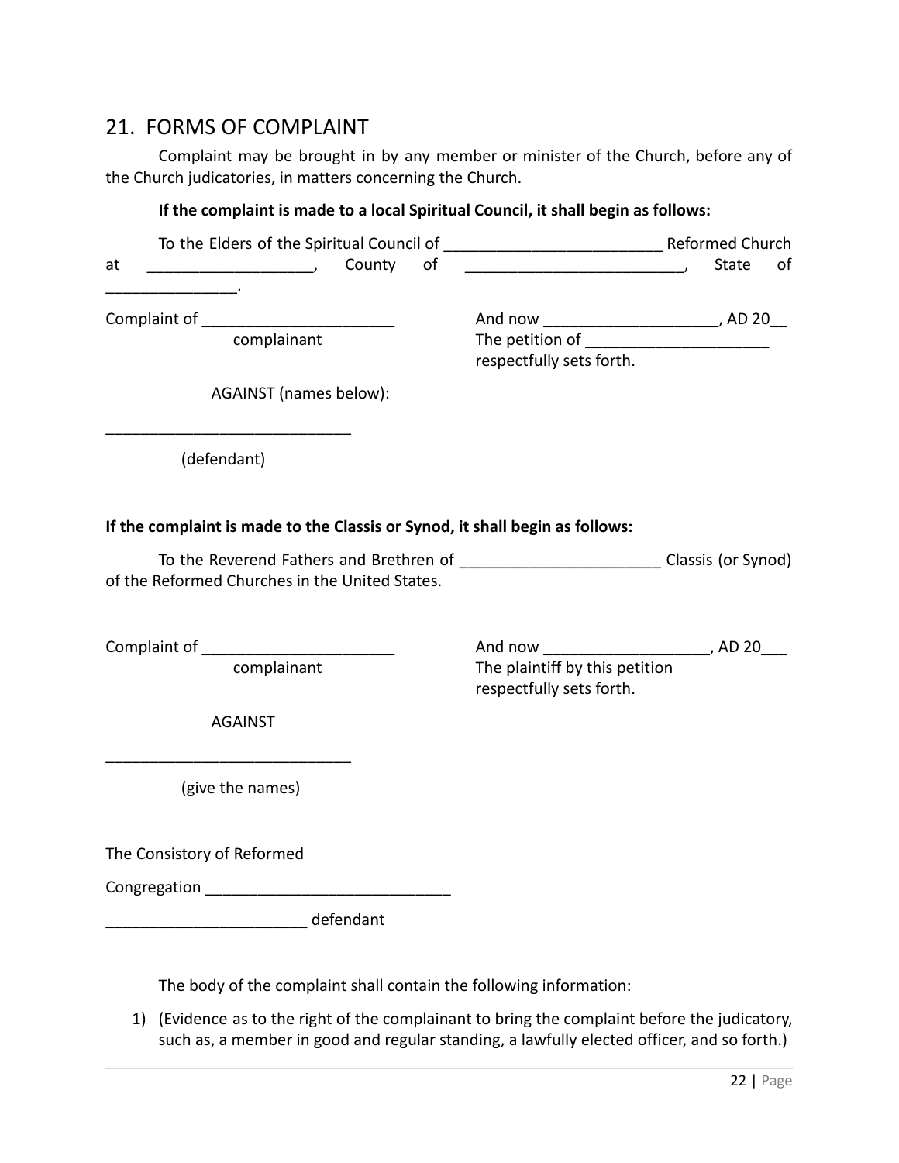#### <span id="page-21-0"></span>21. FORMS OF COMPLAINT

Complaint may be brought in by any member or minister of the Church, before any of the Church judicatories, in matters concerning the Church.

#### **If the complaint is made to a local Spiritual Council, it shall begin as follows:**

| County of<br>at<br>$\overline{\phantom{a}}$                                                                                              |                                                            | <b>State</b> | of |
|------------------------------------------------------------------------------------------------------------------------------------------|------------------------------------------------------------|--------------|----|
| Complaint of ________________________<br>complainant                                                                                     | respectfully sets forth.                                   |              |    |
| AGAINST (names below):                                                                                                                   |                                                            |              |    |
| (defendant)                                                                                                                              |                                                            |              |    |
| If the complaint is made to the Classis or Synod, it shall begin as follows:                                                             |                                                            |              |    |
| To the Reverend Fathers and Brethren of ____________________________Classis (or Synod)<br>of the Reformed Churches in the United States. |                                                            |              |    |
|                                                                                                                                          |                                                            |              |    |
| complainant                                                                                                                              | The plaintiff by this petition<br>respectfully sets forth. |              |    |
| <b>AGAINST</b>                                                                                                                           |                                                            |              |    |
| (give the names)                                                                                                                         |                                                            |              |    |
| The Consistory of Reformed                                                                                                               |                                                            |              |    |
| <b>Congregation Congregation</b>                                                                                                         |                                                            |              |    |
| defendant                                                                                                                                |                                                            |              |    |
|                                                                                                                                          |                                                            |              |    |

The body of the complaint shall contain the following information:

1) (Evidence as to the right of the complainant to bring the complaint before the judicatory, such as, a member in good and regular standing, a lawfully elected officer, and so forth.)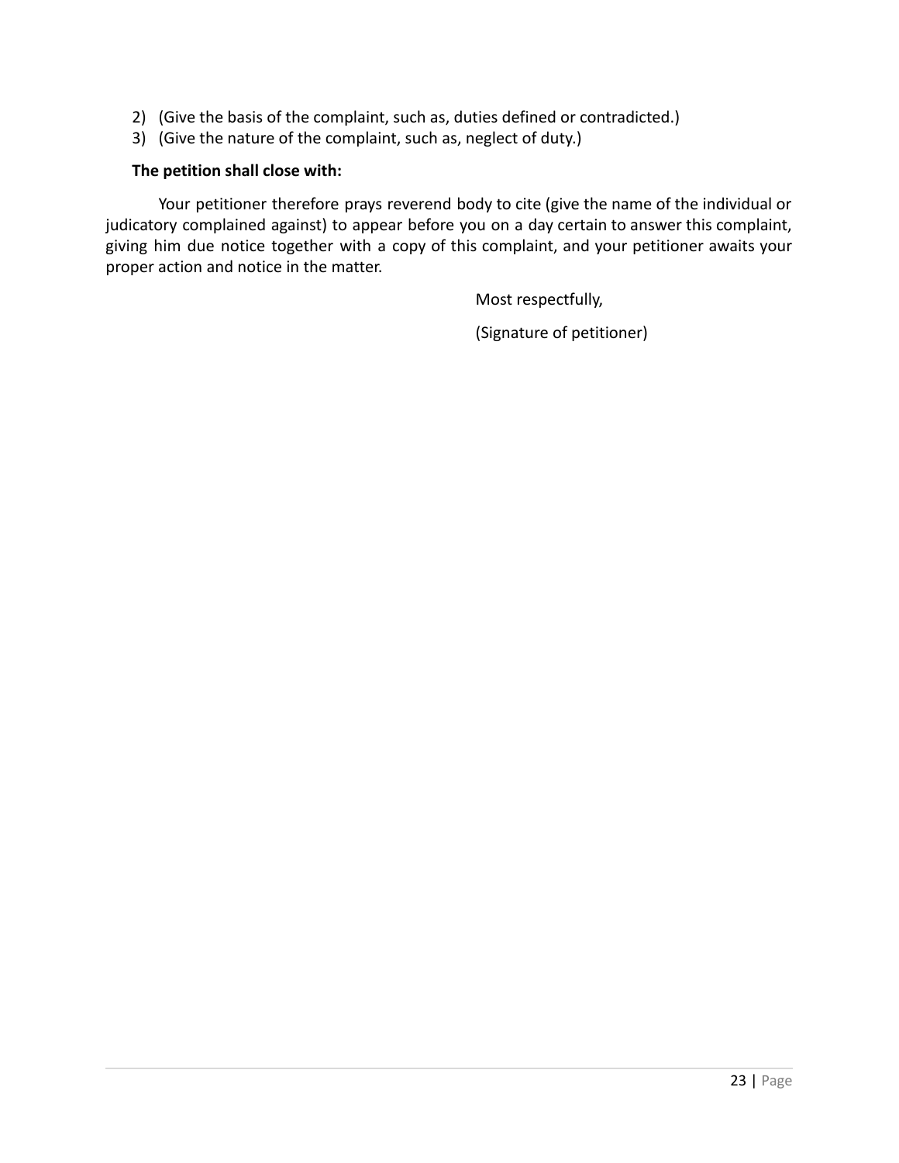- 2) (Give the basis of the complaint, such as, duties defined or contradicted.)
- 3) (Give the nature of the complaint, such as, neglect of duty.)

#### **The petition shall close with:**

Your petitioner therefore prays reverend body to cite (give the name of the individual or judicatory complained against) to appear before you on a day certain to answer this complaint, giving him due notice together with a copy of this complaint, and your petitioner awaits your proper action and notice in the matter.

Most respectfully,

(Signature of petitioner)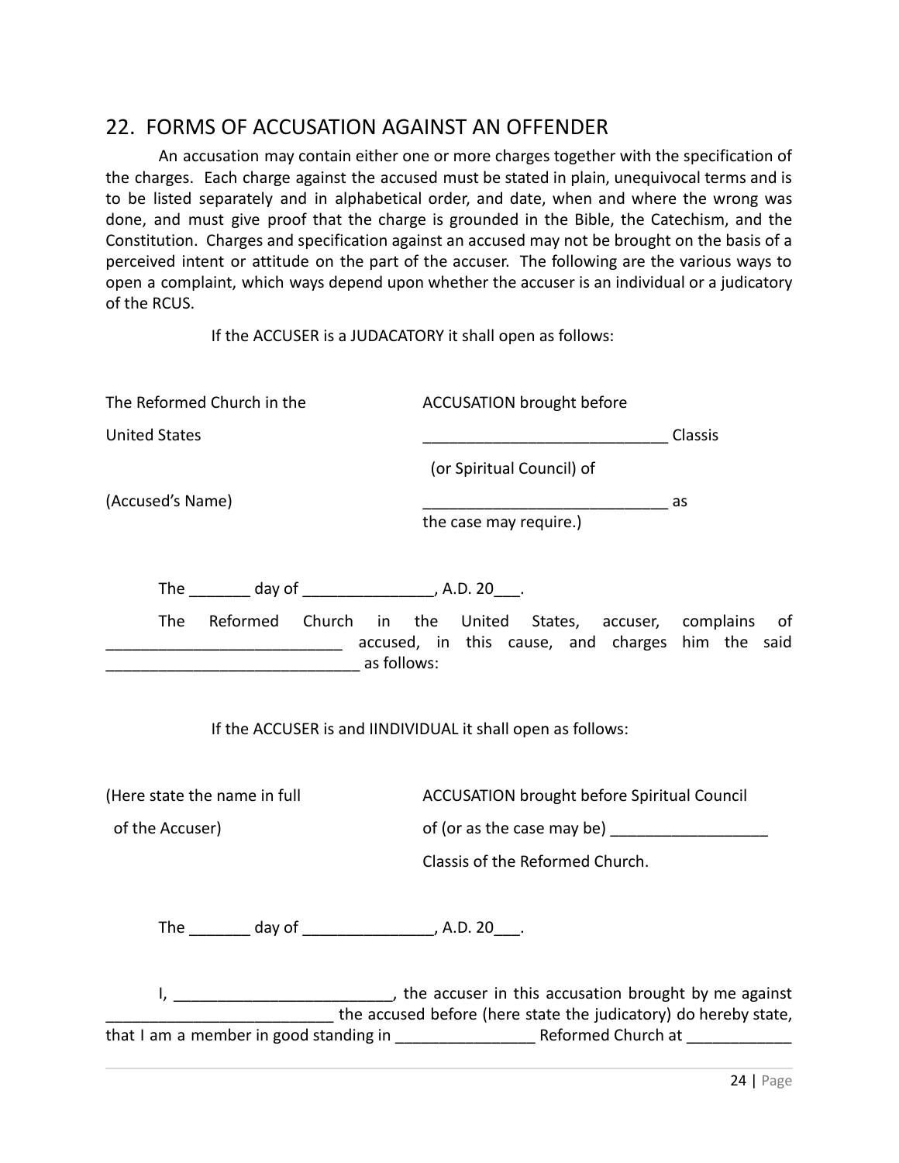#### <span id="page-23-0"></span>22. FORMS OF ACCUSATION AGAINST AN OFFENDER

An accusation may contain either one or more charges together with the specification of the charges. Each charge against the accused must be stated in plain, unequivocal terms and is to be listed separately and in alphabetical order, and date, when and where the wrong was done, and must give proof that the charge is grounded in the Bible, the Catechism, and the Constitution. Charges and specification against an accused may not be brought on the basis of a perceived intent or attitude on the part of the accuser. The following are the various ways to open a complaint, which ways depend upon whether the accuser is an individual or a judicatory of the RCUS.

If the ACCUSER is a JUDACATORY it shall open as follows:

| The Reformed Church in the                                 | <b>ACCUSATION brought before</b>                                                                                                                             |
|------------------------------------------------------------|--------------------------------------------------------------------------------------------------------------------------------------------------------------|
| <b>United States</b>                                       |                                                                                                                                                              |
|                                                            | (or Spiritual Council) of                                                                                                                                    |
| (Accused's Name)                                           | as<br>the case may require.)                                                                                                                                 |
| The _________ day of _____________________, A.D. 20____.   |                                                                                                                                                              |
|                                                            | The Reformed Church in the United States, accuser, complains of<br>accused, in this cause, and charges him the said and charges him the said                 |
|                                                            | If the ACCUSER is and IINDIVIDUAL it shall open as follows:                                                                                                  |
| (Here state the name in full                               | <b>ACCUSATION brought before Spiritual Council</b>                                                                                                           |
| of the Accuser)                                            | of (or as the case may be) _____________________                                                                                                             |
|                                                            | Classis of the Reformed Church.                                                                                                                              |
| The __________ day of ______________________, A.D. 20____. |                                                                                                                                                              |
|                                                            | I, ________________________________, the accuser in this accusation brought by me against<br>the accused before (here state the judicatory) do hereby state, |
| that I am a member in good standing in                     | Reformed Church at                                                                                                                                           |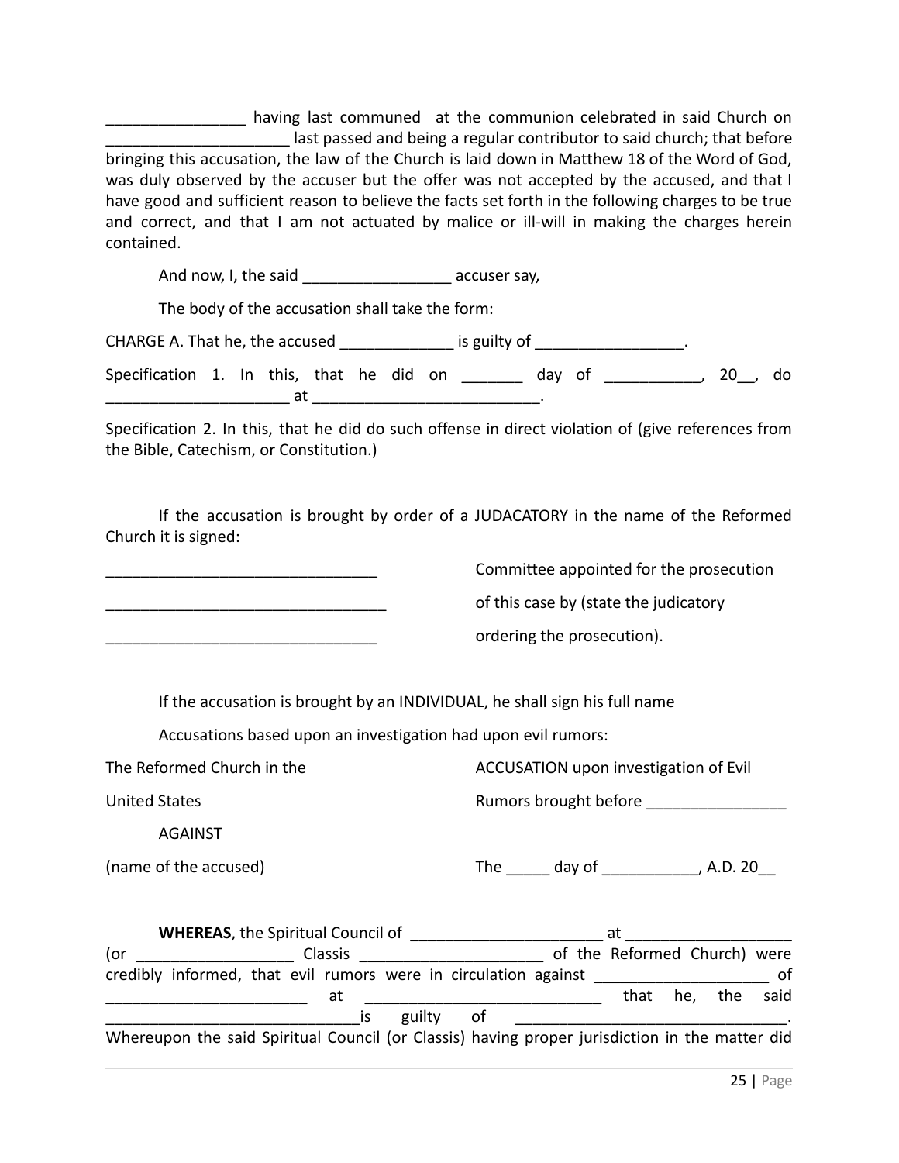\_\_\_\_\_\_\_\_\_\_\_\_\_\_\_\_ having last communed at the communion celebrated in said Church on last passed and being a regular contributor to said church; that before bringing this accusation, the law of the Church is laid down in Matthew 18 of the Word of God, was duly observed by the accuser but the offer was not accepted by the accused, and that I have good and sufficient reason to believe the facts set forth in the following charges to be true and correct, and that I am not actuated by malice or ill-will in making the charges herein contained.

And now, I, the said example accuser say,

The body of the accusation shall take the form:

CHARGE A. That he, the accused \_\_\_\_\_\_\_\_\_\_\_\_\_\_\_\_ is guilty of \_\_\_\_\_\_\_\_\_\_\_\_\_\_\_\_\_\_\_

Specification 1. In this, that he did on \_\_\_\_\_\_\_ day of \_\_\_\_\_\_\_\_\_\_\_, 20\_\_, do  $\overline{\phantom{a}}$  at  $\overline{\phantom{a}}$ 

Specification 2. In this, that he did do such offense in direct violation of (give references from the Bible, Catechism, or Constitution.)

If the accusation is brought by order of a JUDACATORY in the name of the Reformed Church it is signed:

Committee appointed for the prosecution

of this case by (state the judicatory

ordering the prosecution).

If the accusation is brought by an INDIVIDUAL, he shall sign his full name

Accusations based upon an investigation had upon evil rumors:

The Reformed Church in the ACCUSATION upon investigation of Evil United States The Community of the Rumors brought before the Community of the Rumors brought before AGAINST (name of the accused) The day of the accused of the accused  $\frac{1}{2}$  The day of  $\frac{1}{2}$ , A.D. 20

|     | <b>WHEREAS, the Spiritual Council of</b>                                                       | at                           |              |    |
|-----|------------------------------------------------------------------------------------------------|------------------------------|--------------|----|
| (or | <b>Classis</b>                                                                                 | of the Reformed Church) were |              |    |
|     | credibly informed, that evil rumors were in circulation against                                |                              |              | Ωf |
|     | at                                                                                             | that                         | he, the said |    |
|     | guilty<br>of<br>IS                                                                             |                              |              |    |
|     | Whereupon the said Spiritual Council (or Classis) having proper jurisdiction in the matter did |                              |              |    |